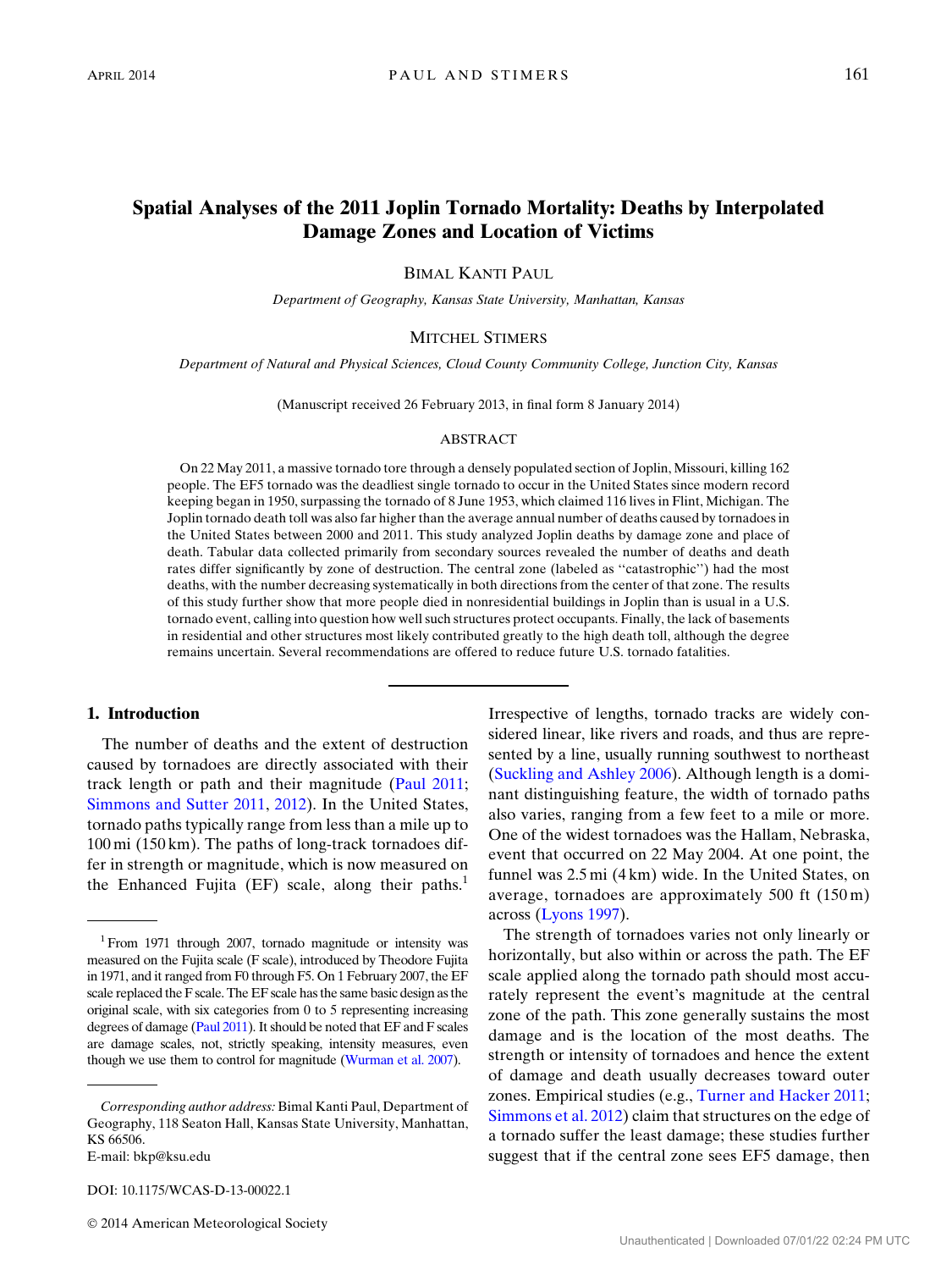# Spatial Analyses of the 2011 Joplin Tornado Mortality: Deaths by Interpolated Damage Zones and Location of Victims

# BIMAL KANTI PAUL

Department of Geography, Kansas State University, Manhattan, Kansas

#### MITCHEL STIMERS

Department of Natural and Physical Sciences, Cloud County Community College, Junction City, Kansas

(Manuscript received 26 February 2013, in final form 8 January 2014)

### ABSTRACT

On 22 May 2011, a massive tornado tore through a densely populated section of Joplin, Missouri, killing 162 people. The EF5 tornado was the deadliest single tornado to occur in the United States since modern record keeping began in 1950, surpassing the tornado of 8 June 1953, which claimed 116 lives in Flint, Michigan. The Joplin tornado death toll was also far higher than the average annual number of deaths caused by tornadoes in the United States between 2000 and 2011. This study analyzed Joplin deaths by damage zone and place of death. Tabular data collected primarily from secondary sources revealed the number of deaths and death rates differ significantly by zone of destruction. The central zone (labeled as ''catastrophic'') had the most deaths, with the number decreasing systematically in both directions from the center of that zone. The results of this study further show that more people died in nonresidential buildings in Joplin than is usual in a U.S. tornado event, calling into question how well such structures protect occupants. Finally, the lack of basements in residential and other structures most likely contributed greatly to the high death toll, although the degree remains uncertain. Several recommendations are offered to reduce future U.S. tornado fatalities.

# 1. Introduction

The number of deaths and the extent of destruction caused by tornadoes are directly associated with their track length or path and their magnitude [\(Paul 2011;](#page-12-0) [Simmons and Sutter 2011](#page-13-0), [2012\)](#page-13-1). In the United States, tornado paths typically range from less than a mile up to 100 mi (150 km). The paths of long-track tornadoes differ in strength or magnitude, which is now measured on the Enhanced Fujita  $(EF)$  scale, along their paths.<sup>1</sup>

DOI: 10.1175/WCAS-D-13-00022.1

Irrespective of lengths, tornado tracks are widely considered linear, like rivers and roads, and thus are represented by a line, usually running southwest to northeast ([Suckling and Ashley 2006\)](#page-13-2). Although length is a dominant distinguishing feature, the width of tornado paths also varies, ranging from a few feet to a mile or more. One of the widest tornadoes was the Hallam, Nebraska, event that occurred on 22 May 2004. At one point, the funnel was 2.5 mi (4 km) wide. In the United States, on average, tornadoes are approximately 500 ft (150 m) across [\(Lyons 1997](#page-12-1)).

The strength of tornadoes varies not only linearly or horizontally, but also within or across the path. The EF scale applied along the tornado path should most accurately represent the event's magnitude at the central zone of the path. This zone generally sustains the most damage and is the location of the most deaths. The strength or intensity of tornadoes and hence the extent of damage and death usually decreases toward outer zones. Empirical studies (e.g., [Turner and Hacker 2011;](#page-13-3) [Simmons et al. 2012\)](#page-13-4) claim that structures on the edge of a tornado suffer the least damage; these studies further suggest that if the central zone sees EF5 damage, then

<sup>&</sup>lt;sup>1</sup> From 1971 through 2007, tornado magnitude or intensity was measured on the Fujita scale (F scale), introduced by Theodore Fujita in 1971, and it ranged from F0 through F5. On 1 February 2007, the EF scale replaced the F scale. The EF scale has the same basic design as the original scale, with six categories from 0 to 5 representing increasing degrees of damage ([Paul 2011\)](#page-12-0). It should be noted that EF and F scales are damage scales, not, strictly speaking, intensity measures, even though we use them to control for magnitude [\(Wurman et al. 2007\)](#page-13-5).

Corresponding author address: Bimal Kanti Paul, Department of Geography, 118 Seaton Hall, Kansas State University, Manhattan, KS 66506. E-mail: [bkp@ksu.edu](mailto:bkp@ksu.edu)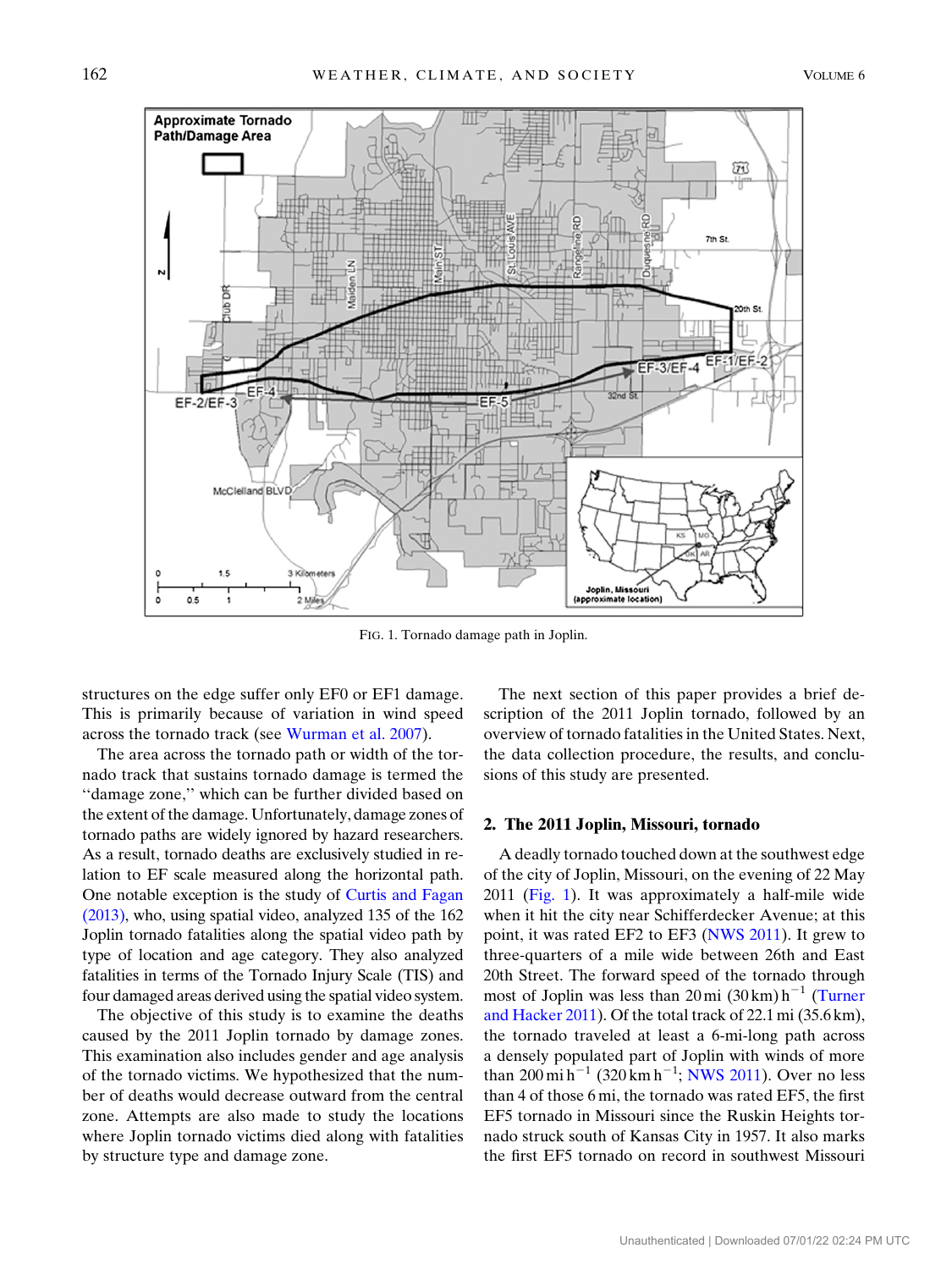<span id="page-1-0"></span>

FIG. 1. Tornado damage path in Joplin.

structures on the edge suffer only EF0 or EF1 damage. This is primarily because of variation in wind speed across the tornado track (see [Wurman et al. 2007](#page-13-5)).

The area across the tornado path or width of the tornado track that sustains tornado damage is termed the ''damage zone,'' which can be further divided based on the extent of the damage. Unfortunately, damage zones of tornado paths are widely ignored by hazard researchers. As a result, tornado deaths are exclusively studied in relation to EF scale measured along the horizontal path. One notable exception is the study of [Curtis and Fagan](#page-12-2) [\(2013\)](#page-12-2), who, using spatial video, analyzed 135 of the 162 Joplin tornado fatalities along the spatial video path by type of location and age category. They also analyzed fatalities in terms of the Tornado Injury Scale (TIS) and four damaged areas derived using the spatial video system.

The objective of this study is to examine the deaths caused by the 2011 Joplin tornado by damage zones. This examination also includes gender and age analysis of the tornado victims. We hypothesized that the number of deaths would decrease outward from the central zone. Attempts are also made to study the locations where Joplin tornado victims died along with fatalities by structure type and damage zone.

The next section of this paper provides a brief description of the 2011 Joplin tornado, followed by an overview of tornado fatalities in the United States. Next, the data collection procedure, the results, and conclusions of this study are presented.

#### 2. The 2011 Joplin, Missouri, tornado

A deadly tornado touched down at the southwest edge of the city of Joplin, Missouri, on the evening of 22 May 2011 [\(Fig. 1\)](#page-1-0). It was approximately a half-mile wide when it hit the city near Schifferdecker Avenue; at this point, it was rated EF2 to EF3 [\(NWS 2011](#page-12-3)). It grew to three-quarters of a mile wide between 26th and East 20th Street. The forward speed of the tornado through most of Joplin was less than  $20 \text{ mi} (30 \text{ km}) \text{h}^{-1}$  [\(Turner](#page-13-3) [and Hacker 2011\)](#page-13-3). Of the total track of 22.1 mi (35.6 km), the tornado traveled at least a 6-mi-long path across a densely populated part of Joplin with winds of more than 200 mi h<sup>-1</sup> (320 km h<sup>-1</sup>; [NWS 2011\)](#page-12-3). Over no less than 4 of those 6 mi, the tornado was rated EF5, the first EF5 tornado in Missouri since the Ruskin Heights tornado struck south of Kansas City in 1957. It also marks the first EF5 tornado on record in southwest Missouri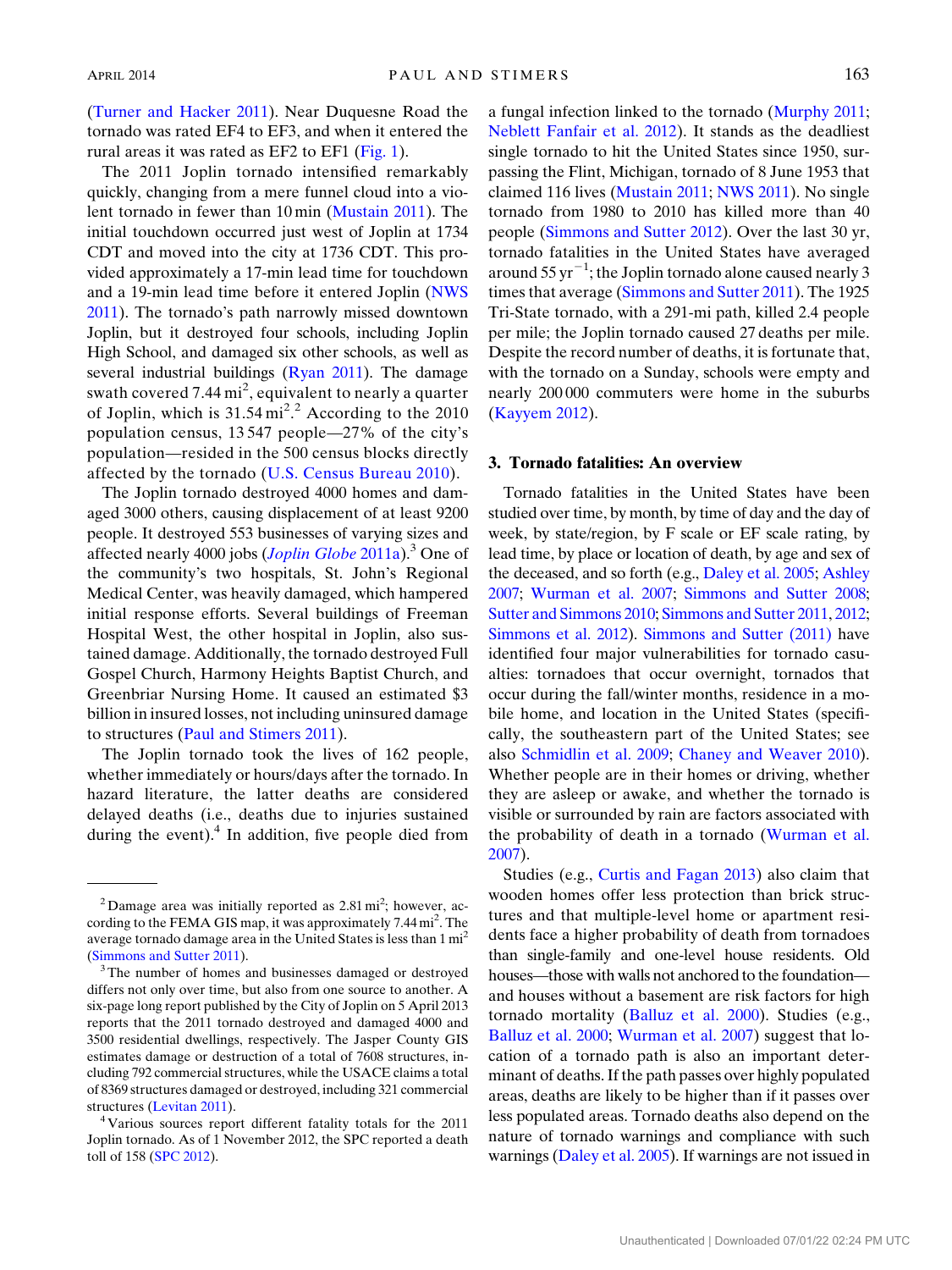[\(Turner and Hacker 2011\)](#page-13-3). Near Duquesne Road the tornado was rated EF4 to EF3, and when it entered the rural areas it was rated as EF2 to EF1 ([Fig. 1\)](#page-1-0).

The 2011 Joplin tornado intensified remarkably quickly, changing from a mere funnel cloud into a violent tornado in fewer than 10 min [\(Mustain 2011\)](#page-12-4). The initial touchdown occurred just west of Joplin at 1734 CDT and moved into the city at 1736 CDT. This provided approximately a 17-min lead time for touchdown and a 19-min lead time before it entered Joplin ([NWS](#page-12-3) [2011\)](#page-12-3). The tornado's path narrowly missed downtown Joplin, but it destroyed four schools, including Joplin High School, and damaged six other schools, as well as several industrial buildings ([Ryan 2011](#page-12-5)). The damage swath covered 7.44  $\mathrm{mi}^2$ , equivalent to nearly a quarter of Joplin, which is  $31.54 \,\mathrm{mi}^2$ .<sup>2</sup> According to the 2010 population census, 13 547 people—27% of the city's population—resided in the 500 census blocks directly affected by the tornado [\(U.S. Census Bureau 2010\)](#page-13-6).

The Joplin tornado destroyed 4000 homes and damaged 3000 others, causing displacement of at least 9200 people. It destroyed 553 businesses of varying sizes and affected nearly 4000 jobs ([Joplin Globe](#page-12-6) 2011a).<sup>3</sup> One of the community's two hospitals, St. John's Regional Medical Center, was heavily damaged, which hampered initial response efforts. Several buildings of Freeman Hospital West, the other hospital in Joplin, also sustained damage. Additionally, the tornado destroyed Full Gospel Church, Harmony Heights Baptist Church, and Greenbriar Nursing Home. It caused an estimated \$3 billion in insured losses, not including uninsured damage to structures [\(Paul and Stimers 2011\)](#page-12-7).

The Joplin tornado took the lives of 162 people, whether immediately or hours/days after the tornado. In hazard literature, the latter deaths are considered delayed deaths (i.e., deaths due to injuries sustained during the event).<sup>4</sup> In addition, five people died from

a fungal infection linked to the tornado ([Murphy 2011;](#page-12-8) [Neblett Fanfair et al. 2012](#page-12-9)). It stands as the deadliest single tornado to hit the United States since 1950, surpassing the Flint, Michigan, tornado of 8 June 1953 that claimed 116 lives [\(Mustain 2011](#page-12-4); [NWS 2011\)](#page-12-3). No single tornado from 1980 to 2010 has killed more than 40 people [\(Simmons and Sutter 2012](#page-13-1)). Over the last 30 yr, tornado fatalities in the United States have averaged around  $55 \,\mathrm{yr}^{-1}$ ; the Joplin tornado alone caused nearly 3 times that average ([Simmons and Sutter 2011](#page-13-0)). The 1925 Tri-State tornado, with a 291-mi path, killed 2.4 people per mile; the Joplin tornado caused 27 deaths per mile. Despite the record number of deaths, it is fortunate that, with the tornado on a Sunday, schools were empty and nearly 200 000 commuters were home in the suburbs ([Kayyem 2012](#page-12-10)).

# 3. Tornado fatalities: An overview

Tornado fatalities in the United States have been studied over time, by month, by time of day and the day of week, by state/region, by F scale or EF scale rating, by lead time, by place or location of death, by age and sex of the deceased, and so forth (e.g., [Daley et al. 2005](#page-12-11); [Ashley](#page-12-12) [2007](#page-12-12); [Wurman et al. 2007;](#page-13-5) [Simmons and Sutter 2008;](#page-12-13) [Sutter and Simmons 2010](#page-13-7); [Simmons and Sutter 2011](#page-13-0), [2012;](#page-13-1) [Simmons et al. 2012\)](#page-13-4). [Simmons and Sutter \(2011\)](#page-13-0) have identified four major vulnerabilities for tornado casualties: tornadoes that occur overnight, tornados that occur during the fall/winter months, residence in a mobile home, and location in the United States (specifically, the southeastern part of the United States; see also [Schmidlin et al. 2009](#page-12-14); [Chaney and Weaver 2010](#page-12-15)). Whether people are in their homes or driving, whether they are asleep or awake, and whether the tornado is visible or surrounded by rain are factors associated with the probability of death in a tornado [\(Wurman et al.](#page-13-5) [2007\)](#page-13-5).

Studies (e.g., [Curtis and Fagan 2013](#page-12-2)) also claim that wooden homes offer less protection than brick structures and that multiple-level home or apartment residents face a higher probability of death from tornadoes than single-family and one-level house residents. Old houses—those with walls not anchored to the foundation and houses without a basement are risk factors for high tornado mortality ([Balluz et al. 2000](#page-12-16)). Studies (e.g., [Balluz et al. 2000](#page-12-16); [Wurman et al. 2007\)](#page-13-5) suggest that location of a tornado path is also an important determinant of deaths. If the path passes over highly populated areas, deaths are likely to be higher than if it passes over less populated areas. Tornado deaths also depend on the nature of tornado warnings and compliance with such warnings [\(Daley et al. 2005\)](#page-12-11). If warnings are not issued in

 $2$  Damage area was initially reported as  $2.81 \text{ mi}^2$ ; however, according to the FEMA GIS map, it was approximately  $7.44 \text{ mi}^2$ . The average tornado damage area in the United States is less than 1 mi2

<sup>(</sup>[Simmons and Sutter 2011](#page-13-0)). 3The number of homes and businesses damaged or destroyed differs not only over time, but also from one source to another. A six-page long report published by the City of Joplin on 5 April 2013 reports that the 2011 tornado destroyed and damaged 4000 and 3500 residential dwellings, respectively. The Jasper County GIS estimates damage or destruction of a total of 7608 structures, including 792 commercial structures, while the USACE claims a total of 8369 structures damaged or destroyed, including 321 commercial

structures ([Levitan 2011\)](#page-12-17). 4Various sources report different fatality totals for the 2011 Joplin tornado. As of 1 November 2012, the SPC reported a death toll of 158 [\(SPC 2012](#page-13-8)).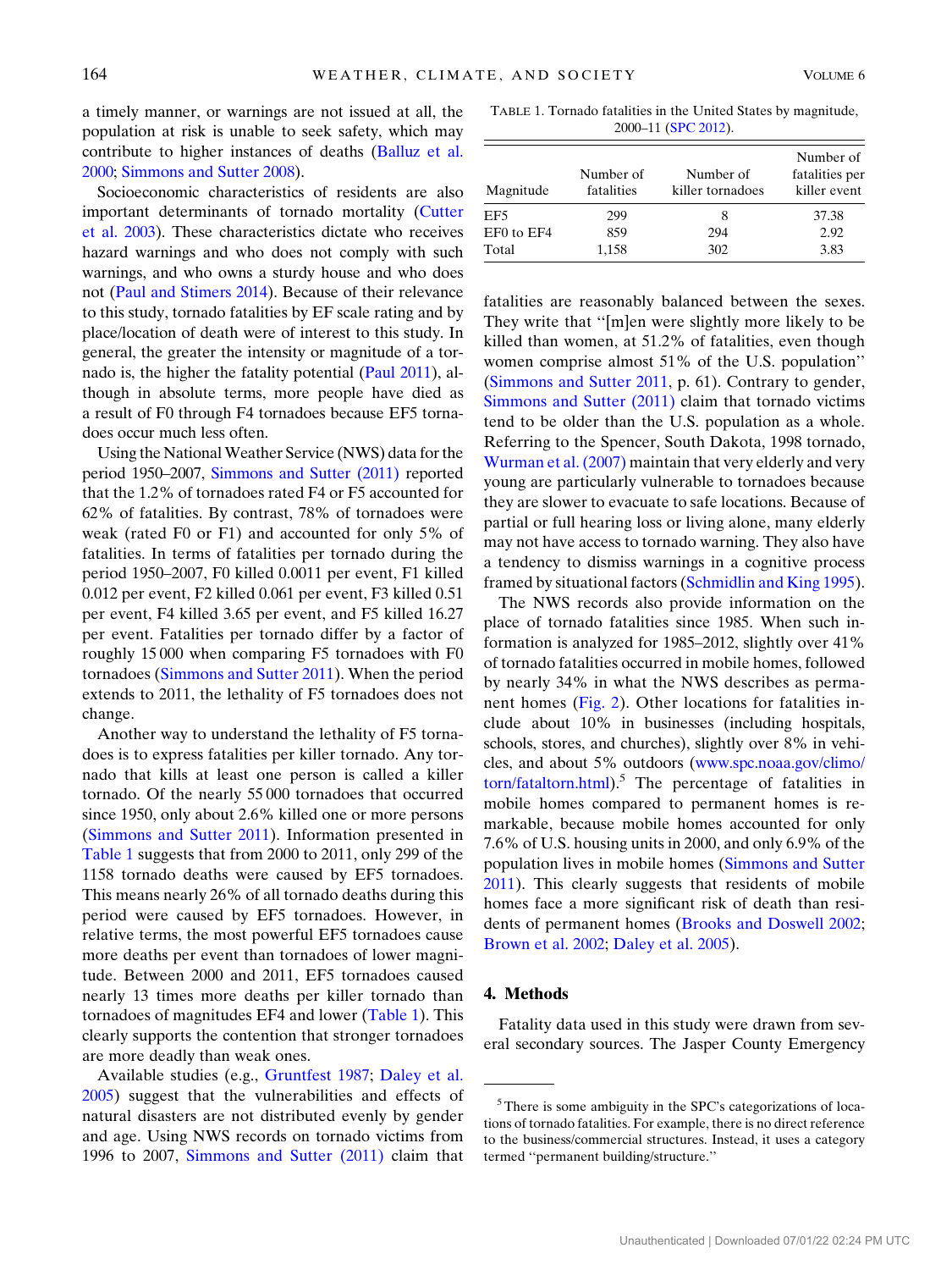a timely manner, or warnings are not issued at all, the population at risk is unable to seek safety, which may contribute to higher instances of deaths [\(Balluz et al.](#page-12-16) [2000](#page-12-16); [Simmons and Sutter 2008](#page-12-13)).

Socioeconomic characteristics of residents are also important determinants of tornado mortality ([Cutter](#page-12-18) [et al. 2003\)](#page-12-18). These characteristics dictate who receives hazard warnings and who does not comply with such warnings, and who owns a sturdy house and who does not ([Paul and Stimers 2014](#page-12-19)). Because of their relevance to this study, tornado fatalities by EF scale rating and by place/location of death were of interest to this study. In general, the greater the intensity or magnitude of a tornado is, the higher the fatality potential [\(Paul 2011\)](#page-12-0), although in absolute terms, more people have died as a result of F0 through F4 tornadoes because EF5 tornadoes occur much less often.

Using the NationalWeather Service (NWS) data for the period 1950–2007, [Simmons and Sutter \(2011\)](#page-13-0) reported that the 1.2% of tornadoes rated F4 or F5 accounted for 62% of fatalities. By contrast, 78% of tornadoes were weak (rated F0 or F1) and accounted for only 5% of fatalities. In terms of fatalities per tornado during the period 1950–2007, F0 killed 0.0011 per event, F1 killed 0.012 per event, F2 killed 0.061 per event, F3 killed 0.51 per event, F4 killed 3.65 per event, and F5 killed 16.27 per event. Fatalities per tornado differ by a factor of roughly 15 000 when comparing F5 tornadoes with F0 tornadoes ([Simmons and Sutter 2011](#page-13-0)). When the period extends to 2011, the lethality of F5 tornadoes does not change.

Another way to understand the lethality of F5 tornadoes is to express fatalities per killer tornado. Any tornado that kills at least one person is called a killer tornado. Of the nearly 55 000 tornadoes that occurred since 1950, only about 2.6% killed one or more persons ([Simmons and Sutter 2011\)](#page-13-0). Information presented in [Table 1](#page-3-0) suggests that from 2000 to 2011, only 299 of the 1158 tornado deaths were caused by EF5 tornadoes. This means nearly 26% of all tornado deaths during this period were caused by EF5 tornadoes. However, in relative terms, the most powerful EF5 tornadoes cause more deaths per event than tornadoes of lower magnitude. Between 2000 and 2011, EF5 tornadoes caused nearly 13 times more deaths per killer tornado than tornadoes of magnitudes EF4 and lower [\(Table 1\)](#page-3-0). This clearly supports the contention that stronger tornadoes are more deadly than weak ones.

Available studies (e.g., [Gruntfest 1987](#page-12-20); [Daley et al.](#page-12-11) [2005\)](#page-12-11) suggest that the vulnerabilities and effects of natural disasters are not distributed evenly by gender and age. Using NWS records on tornado victims from 1996 to 2007, [Simmons and Sutter \(2011\)](#page-13-0) claim that

<span id="page-3-0"></span>TABLE 1. Tornado fatalities in the United States by magnitude, 2000–11 [\(SPC 2012](#page-13-8)).

| Magnitude           | Number of<br>fatalities | Number of<br>killer tornadoes | Number of<br>fatalities per<br>killer event |
|---------------------|-------------------------|-------------------------------|---------------------------------------------|
| EF <sub>5</sub>     | 299                     | 8                             | 37.38                                       |
| EF0 to EF4<br>Total | 859<br>1,158            | 294<br>302                    | 2.92<br>3.83                                |

fatalities are reasonably balanced between the sexes. They write that ''[m]en were slightly more likely to be killed than women, at 51.2% of fatalities, even though women comprise almost 51% of the U.S. population'' ([Simmons and Sutter 2011,](#page-13-0) p. 61). Contrary to gender, [Simmons and Sutter \(2011\)](#page-13-0) claim that tornado victims tend to be older than the U.S. population as a whole. Referring to the Spencer, South Dakota, 1998 tornado, [Wurman et al. \(2007\)](#page-13-5) maintain that very elderly and very young are particularly vulnerable to tornadoes because they are slower to evacuate to safe locations. Because of partial or full hearing loss or living alone, many elderly may not have access to tornado warning. They also have a tendency to dismiss warnings in a cognitive process framed by situational factors ([Schmidlin and King 1995](#page-12-21)).

The NWS records also provide information on the place of tornado fatalities since 1985. When such information is analyzed for 1985–2012, slightly over 41% of tornado fatalities occurred in mobile homes, followed by nearly 34% in what the NWS describes as permanent homes ([Fig. 2\)](#page-4-0). Other locations for fatalities include about 10% in businesses (including hospitals, schools, stores, and churches), slightly over 8% in vehicles, and about 5% outdoors [\(www.spc.noaa.gov/climo/](http://www.spc.noaa.gov/climo/torn/fataltorn.html)  $torn/fatal torn.html$ .<sup>5</sup> The percentage of fatalities in mobile homes compared to permanent homes is remarkable, because mobile homes accounted for only 7.6% of U.S. housing units in 2000, and only 6.9% of the population lives in mobile homes ([Simmons and Sutter](#page-12-13) [2011\)](#page-12-13). This clearly suggests that residents of mobile homes face a more significant risk of death than residents of permanent homes ([Brooks and Doswell 2002;](#page-12-22) [Brown et al. 2002](#page-12-23); [Daley et al. 2005](#page-12-11)).

# 4. Methods

Fatality data used in this study were drawn from several secondary sources. The Jasper County Emergency

 $5$ There is some ambiguity in the SPC's categorizations of locations of tornado fatalities. For example, there is no direct reference to the business/commercial structures. Instead, it uses a category termed ''permanent building/structure.''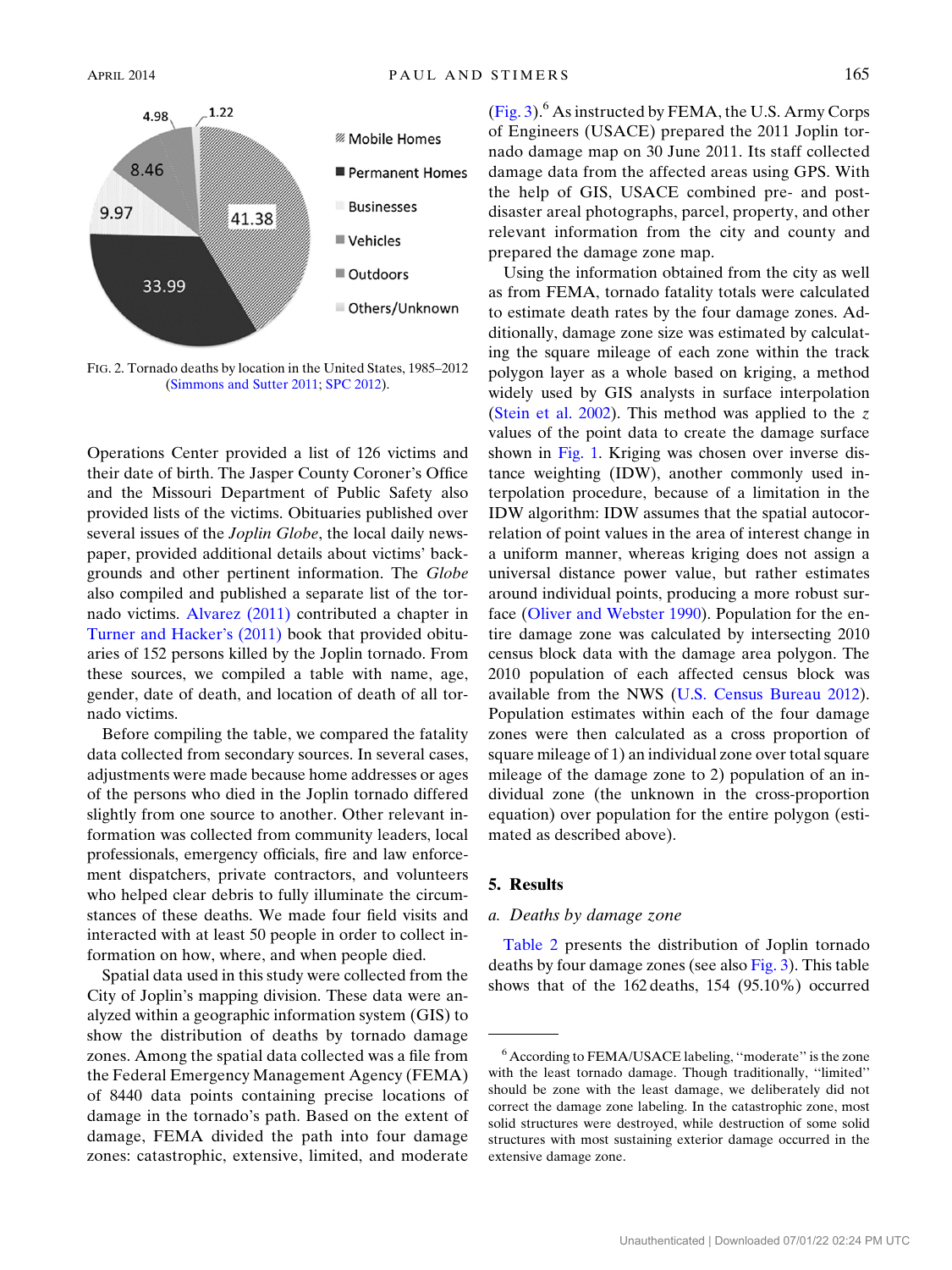<span id="page-4-0"></span>

FIG. 2. Tornado deaths by location in the United States, 1985–2012 ([Simmons and Sutter 2011;](#page-13-0) [SPC 2012](#page-13-8)).

Operations Center provided a list of 126 victims and their date of birth. The Jasper County Coroner's Office and the Missouri Department of Public Safety also provided lists of the victims. Obituaries published over several issues of the *Joplin Globe*, the local daily newspaper, provided additional details about victims' backgrounds and other pertinent information. The Globe also compiled and published a separate list of the tornado victims. [Alvarez \(2011\)](#page-12-24) contributed a chapter in [Turner and Hacker's \(2011\)](#page-13-3) book that provided obituaries of 152 persons killed by the Joplin tornado. From these sources, we compiled a table with name, age, gender, date of death, and location of death of all tornado victims.

Before compiling the table, we compared the fatality data collected from secondary sources. In several cases, adjustments were made because home addresses or ages of the persons who died in the Joplin tornado differed slightly from one source to another. Other relevant information was collected from community leaders, local professionals, emergency officials, fire and law enforcement dispatchers, private contractors, and volunteers who helped clear debris to fully illuminate the circumstances of these deaths. We made four field visits and interacted with at least 50 people in order to collect information on how, where, and when people died.

Spatial data used in this study were collected from the City of Joplin's mapping division. These data were analyzed within a geographic information system (GIS) to show the distribution of deaths by tornado damage zones. Among the spatial data collected was a file from the Federal Emergency Management Agency (FEMA) of 8440 data points containing precise locations of damage in the tornado's path. Based on the extent of damage, FEMA divided the path into four damage zones: catastrophic, extensive, limited, and moderate  $(Fig. 3)$  $(Fig. 3)$  $(Fig. 3)$ <sup>6</sup> As instructed by FEMA, the U.S. Army Corps of Engineers (USACE) prepared the 2011 Joplin tornado damage map on 30 June 2011. Its staff collected damage data from the affected areas using GPS. With the help of GIS, USACE combined pre- and postdisaster areal photographs, parcel, property, and other relevant information from the city and county and prepared the damage zone map.

Using the information obtained from the city as well as from FEMA, tornado fatality totals were calculated to estimate death rates by the four damage zones. Additionally, damage zone size was estimated by calculating the square mileage of each zone within the track polygon layer as a whole based on kriging, a method widely used by GIS analysts in surface interpolation ([Stein et al. 2002\)](#page-13-9). This method was applied to the  $z$ values of the point data to create the damage surface shown in [Fig. 1](#page-1-0). Kriging was chosen over inverse distance weighting (IDW), another commonly used interpolation procedure, because of a limitation in the IDW algorithm: IDW assumes that the spatial autocorrelation of point values in the area of interest change in a uniform manner, whereas kriging does not assign a universal distance power value, but rather estimates around individual points, producing a more robust surface [\(Oliver and Webster 1990\)](#page-12-25). Population for the entire damage zone was calculated by intersecting 2010 census block data with the damage area polygon. The 2010 population of each affected census block was available from the NWS [\(U.S. Census Bureau 2012](#page-13-10)). Population estimates within each of the four damage zones were then calculated as a cross proportion of square mileage of 1) an individual zone over total square mileage of the damage zone to 2) population of an individual zone (the unknown in the cross-proportion equation) over population for the entire polygon (estimated as described above).

### 5. Results

### a. Deaths by damage zone

[Table 2](#page-5-1) presents the distribution of Joplin tornado deaths by four damage zones (see also [Fig. 3\)](#page-5-0). This table shows that of the 162 deaths, 154 (95.10%) occurred

<sup>6</sup> According to FEMA/USACE labeling, ''moderate'' is the zone with the least tornado damage. Though traditionally, ''limited'' should be zone with the least damage, we deliberately did not correct the damage zone labeling. In the catastrophic zone, most solid structures were destroyed, while destruction of some solid structures with most sustaining exterior damage occurred in the extensive damage zone.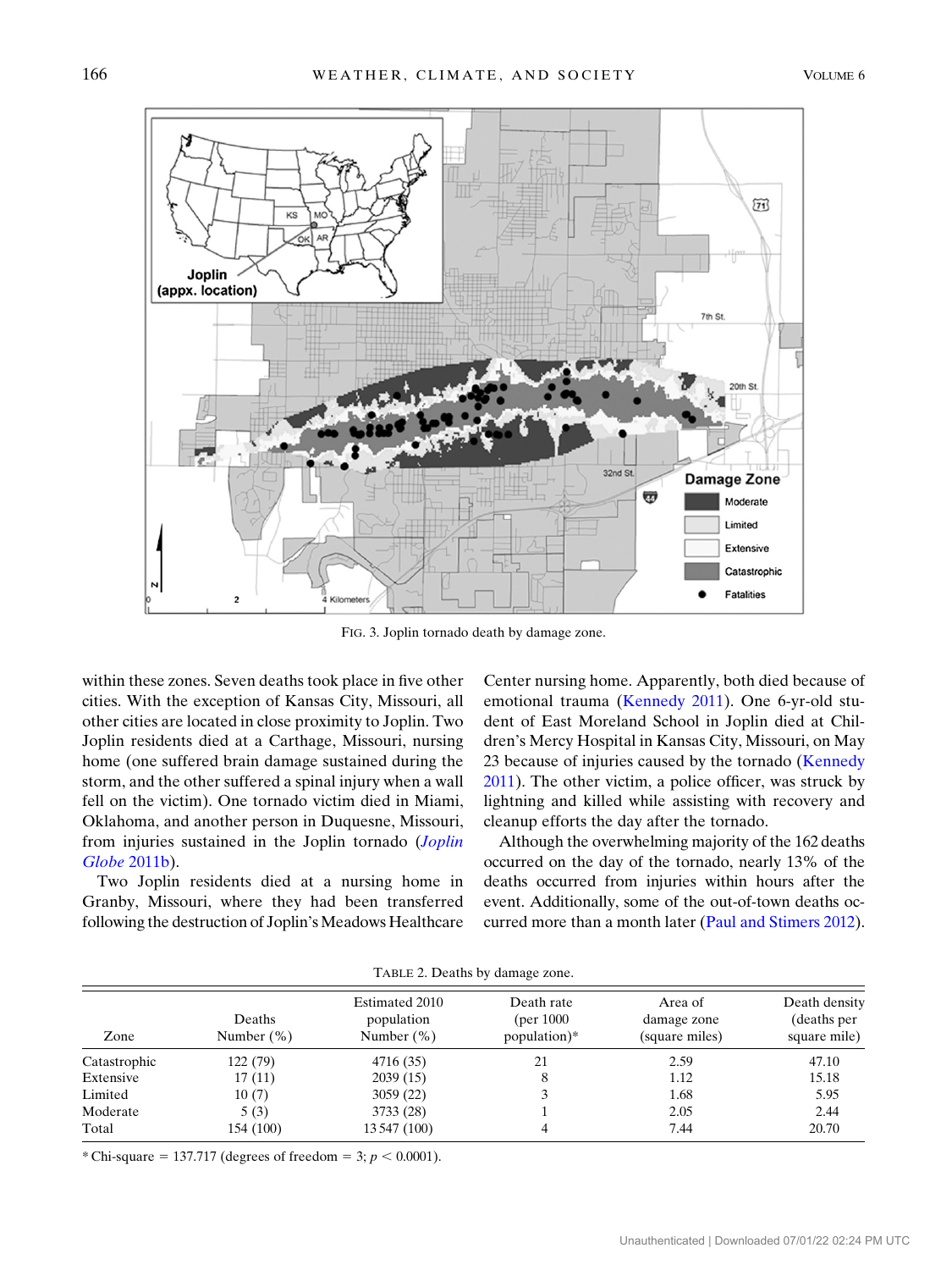<span id="page-5-0"></span>

FIG. 3. Joplin tornado death by damage zone.

within these zones. Seven deaths took place in five other cities. With the exception of Kansas City, Missouri, all other cities are located in close proximity to Joplin. Two Joplin residents died at a Carthage, Missouri, nursing home (one suffered brain damage sustained during the storm, and the other suffered a spinal injury when a wall fell on the victim). One tornado victim died in Miami, Oklahoma, and another person in Duquesne, Missouri, from injuries sustained in the [Joplin](#page-12-26) tornado (Joplin [Globe](#page-12-26) 2011b).

Two Joplin residents died at a nursing home in Granby, Missouri, where they had been transferred following the destruction of Joplin's Meadows Healthcare

Center nursing home. Apparently, both died because of emotional trauma ([Kennedy 2011](#page-12-27)). One 6-yr-old student of East Moreland School in Joplin died at Children's Mercy Hospital in Kansas City, Missouri, on May 23 because of injuries caused by the tornado ([Kennedy](#page-12-27) [2011\)](#page-12-27). The other victim, a police officer, was struck by lightning and killed while assisting with recovery and cleanup efforts the day after the tornado.

Although the overwhelming majority of the 162 deaths occurred on the day of the tornado, nearly 13% of the deaths occurred from injuries within hours after the event. Additionally, some of the out-of-town deaths occurred more than a month later [\(Paul and Stimers 2012](#page-12-28)).

<span id="page-5-1"></span>

| TABLE 2. Deaths by damage zone. |                         |                                               |                                          |                                          |                                              |  |
|---------------------------------|-------------------------|-----------------------------------------------|------------------------------------------|------------------------------------------|----------------------------------------------|--|
| Zone                            | Deaths<br>Number $(\%)$ | Estimated 2010<br>population<br>Number $(\%)$ | Death rate<br>(per 1000)<br>population)* | Area of<br>damage zone<br>(square miles) | Death density<br>(deaths per<br>square mile) |  |
| Catastrophic                    | 122 (79)                | 4716 (35)                                     | 21                                       | 2.59                                     | 47.10                                        |  |
| Extensive                       | 17(11)                  | 2039(15)                                      | 8                                        | 1.12                                     | 15.18                                        |  |
| Limited                         | 10(7)                   | 3059(22)                                      |                                          | 1.68                                     | 5.95                                         |  |
| Moderate                        | 5(3)                    | 3733 (28)                                     |                                          | 2.05                                     | 2.44                                         |  |
| Total                           | 154 (100)               | 13 547 (100)                                  |                                          | 7.44                                     | 20.70                                        |  |

TABLE 2. Deaths by damage zone.

\* Chi-square = 137.717 (degrees of freedom = 3;  $p < 0.0001$ ).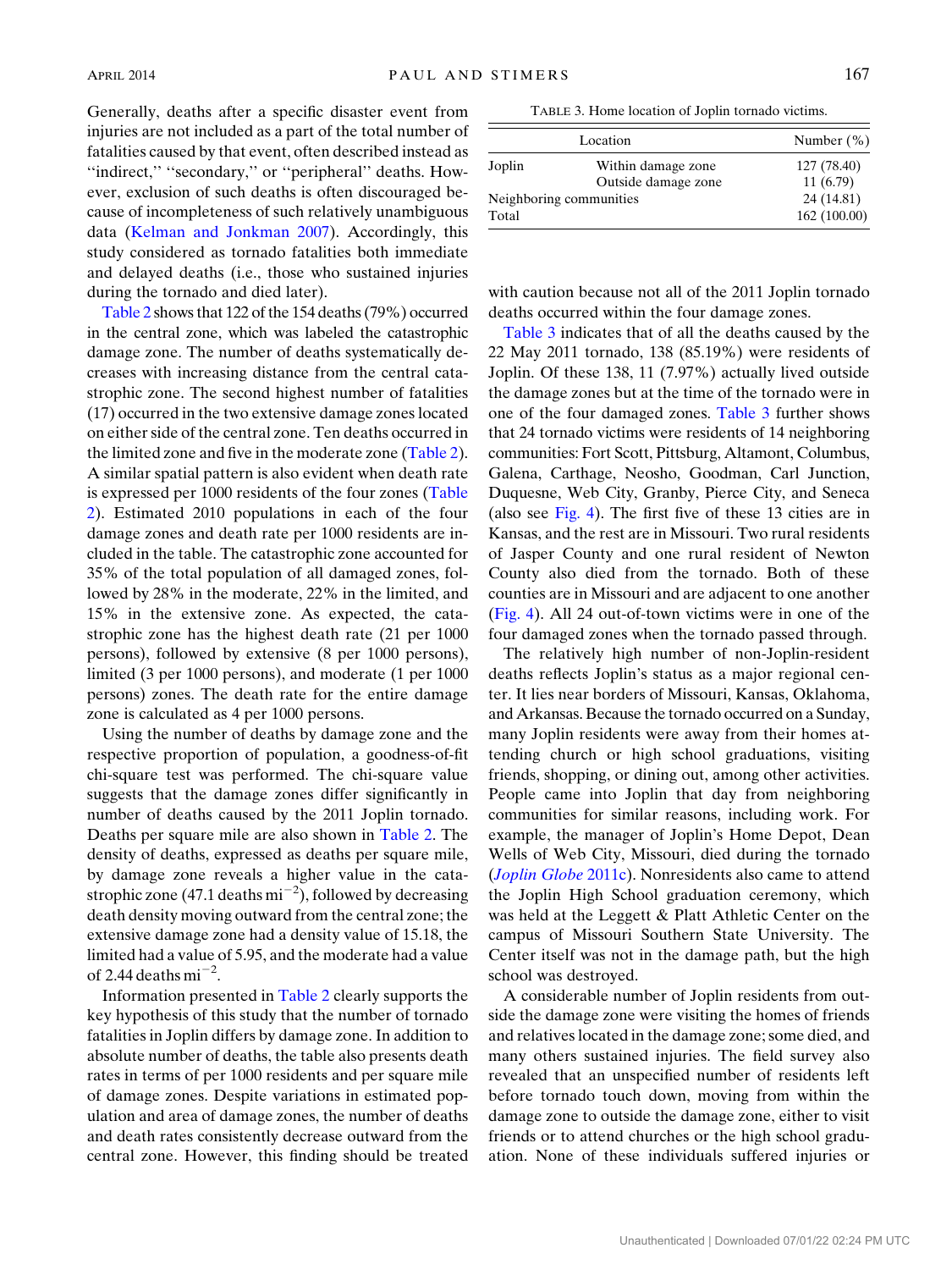Generally, deaths after a specific disaster event from injuries are not included as a part of the total number of fatalities caused by that event, often described instead as "indirect," "secondary," or "peripheral" deaths. However, exclusion of such deaths is often discouraged because of incompleteness of such relatively unambiguous data ([Kelman and Jonkman 2007](#page-12-29)). Accordingly, this study considered as tornado fatalities both immediate and delayed deaths (i.e., those who sustained injuries during the tornado and died later).

[Table 2](#page-5-1) shows that 122 of the 154 deaths (79%) occurred in the central zone, which was labeled the catastrophic damage zone. The number of deaths systematically decreases with increasing distance from the central catastrophic zone. The second highest number of fatalities (17) occurred in the two extensive damage zones located on either side of the central zone. Ten deaths occurred in the limited zone and five in the moderate zone ([Table 2\)](#page-5-1). A similar spatial pattern is also evident when death rate is expressed per 1000 residents of the four zones [\(Table](#page-5-1) [2\)](#page-5-1). Estimated 2010 populations in each of the four damage zones and death rate per 1000 residents are included in the table. The catastrophic zone accounted for 35% of the total population of all damaged zones, followed by 28% in the moderate, 22% in the limited, and 15% in the extensive zone. As expected, the catastrophic zone has the highest death rate (21 per 1000 persons), followed by extensive (8 per 1000 persons), limited (3 per 1000 persons), and moderate (1 per 1000 persons) zones. The death rate for the entire damage zone is calculated as 4 per 1000 persons.

Using the number of deaths by damage zone and the respective proportion of population, a goodness-of-fit chi-square test was performed. The chi-square value suggests that the damage zones differ significantly in number of deaths caused by the 2011 Joplin tornado. Deaths per square mile are also shown in [Table 2](#page-5-1). The density of deaths, expressed as deaths per square mile, by damage zone reveals a higher value in the catastrophic zone (47.1 deaths  $mi^{-2}$ ), followed by decreasing death density moving outward from the central zone; the extensive damage zone had a density value of 15.18, the limited had a value of 5.95, and the moderate had a value of 2.44 deaths  $mi^{-2}$ .

Information presented in [Table 2](#page-5-1) clearly supports the key hypothesis of this study that the number of tornado fatalities in Joplin differs by damage zone. In addition to absolute number of deaths, the table also presents death rates in terms of per 1000 residents and per square mile of damage zones. Despite variations in estimated population and area of damage zones, the number of deaths and death rates consistently decrease outward from the central zone. However, this finding should be treated

TABLE 3. Home location of Joplin tornado victims.

<span id="page-6-0"></span>

| Location                |                     | Number $(\%)$ |  |
|-------------------------|---------------------|---------------|--|
| Joplin                  | Within damage zone  | 127 (78.40)   |  |
|                         | Outside damage zone | 11(6.79)      |  |
| Neighboring communities |                     | 24 (14.81)    |  |
| Total                   |                     | 162(100.00)   |  |

with caution because not all of the 2011 Joplin tornado deaths occurred within the four damage zones.

[Table 3](#page-6-0) indicates that of all the deaths caused by the 22 May 2011 tornado, 138 (85.19%) were residents of Joplin. Of these 138, 11 (7.97%) actually lived outside the damage zones but at the time of the tornado were in one of the four damaged zones. [Table 3](#page-6-0) further shows that 24 tornado victims were residents of 14 neighboring communities: Fort Scott, Pittsburg, Altamont, Columbus, Galena, Carthage, Neosho, Goodman, Carl Junction, Duquesne, Web City, Granby, Pierce City, and Seneca (also see [Fig. 4\)](#page-7-0). The first five of these 13 cities are in Kansas, and the rest are in Missouri. Two rural residents of Jasper County and one rural resident of Newton County also died from the tornado. Both of these counties are in Missouri and are adjacent to one another ([Fig. 4](#page-7-0)). All 24 out-of-town victims were in one of the four damaged zones when the tornado passed through.

The relatively high number of non-Joplin-resident deaths reflects Joplin's status as a major regional center. It lies near borders of Missouri, Kansas, Oklahoma, and Arkansas. Because the tornado occurred on a Sunday, many Joplin residents were away from their homes attending church or high school graduations, visiting friends, shopping, or dining out, among other activities. People came into Joplin that day from neighboring communities for similar reasons, including work. For example, the manager of Joplin's Home Depot, Dean Wells of Web City, Missouri, died during the tornado (*[Joplin Globe](#page-12-30)* 2011c). Nonresidents also came to attend the Joplin High School graduation ceremony, which was held at the Leggett & Platt Athletic Center on the campus of Missouri Southern State University. The Center itself was not in the damage path, but the high school was destroyed.

A considerable number of Joplin residents from outside the damage zone were visiting the homes of friends and relatives located in the damage zone; some died, and many others sustained injuries. The field survey also revealed that an unspecified number of residents left before tornado touch down, moving from within the damage zone to outside the damage zone, either to visit friends or to attend churches or the high school graduation. None of these individuals suffered injuries or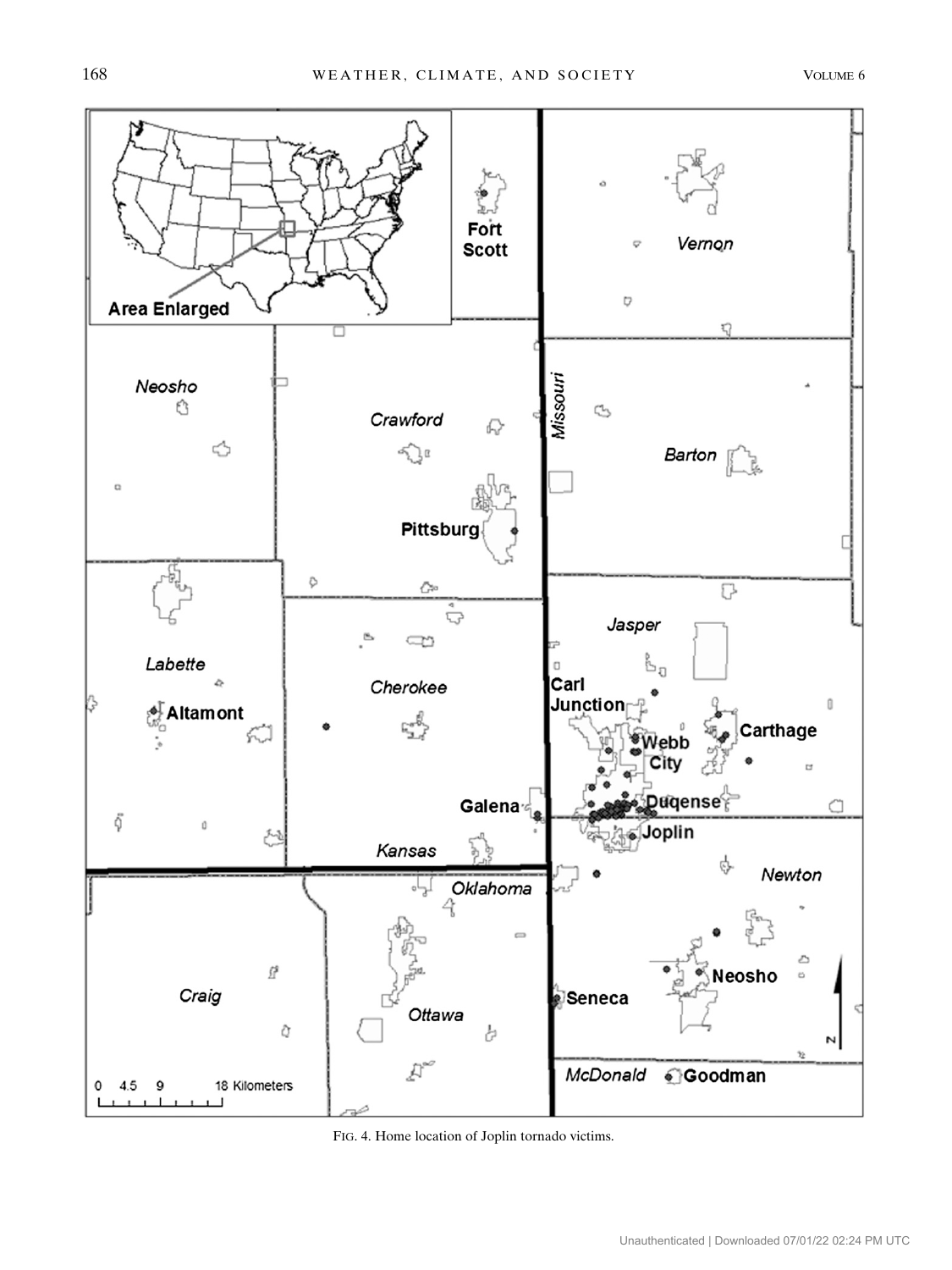<span id="page-7-0"></span>

FIG. 4. Home location of Joplin tornado victims.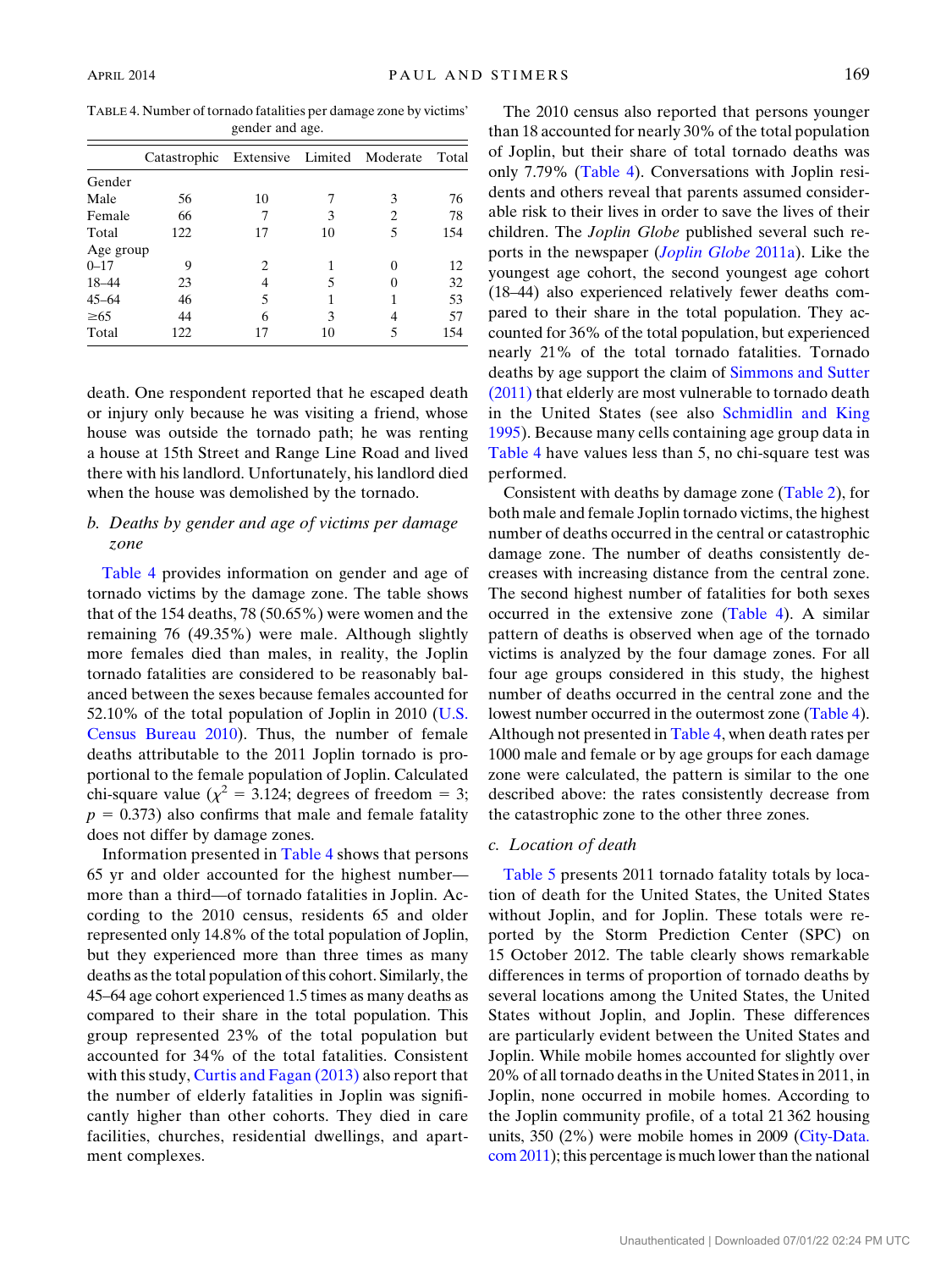<span id="page-8-0"></span>TABLE 4. Number of tornado fatalities per damage zone by victims' gender and age.

|           | Catastrophic Extensive Limited Moderate |               |    |   | Total |
|-----------|-----------------------------------------|---------------|----|---|-------|
| Gender    |                                         |               |    |   |       |
| Male      | 56                                      | 10            |    | 3 | 76    |
| Female    | 66                                      |               | 3  | 2 | 78    |
| Total     | 122                                     | 17            | 10 | 5 | 154   |
| Age group |                                         |               |    |   |       |
| $0 - 17$  | 9                                       | $\mathcal{L}$ |    |   | 12    |
| 18-44     | 23                                      |               | 5  |   | 32    |
| $45 - 64$ | 46                                      | 5             |    |   | 53    |
| $\geq 65$ | 44                                      | 6             | 3  |   | 57    |
| Total     | 122                                     | 17            | 10 |   | 154   |

death. One respondent reported that he escaped death or injury only because he was visiting a friend, whose house was outside the tornado path; he was renting a house at 15th Street and Range Line Road and lived there with his landlord. Unfortunately, his landlord died when the house was demolished by the tornado.

# b. Deaths by gender and age of victims per damage zone

[Table 4](#page-8-0) provides information on gender and age of tornado victims by the damage zone. The table shows that of the 154 deaths, 78 (50.65%) were women and the remaining 76 (49.35%) were male. Although slightly more females died than males, in reality, the Joplin tornado fatalities are considered to be reasonably balanced between the sexes because females accounted for 52.10% of the total population of Joplin in 2010 [\(U.S.](#page-13-6) [Census Bureau 2010](#page-13-6)). Thus, the number of female deaths attributable to the 2011 Joplin tornado is proportional to the female population of Joplin. Calculated chi-square value ( $\chi^2$  = 3.124; degrees of freedom = 3;  $p = 0.373$ ) also confirms that male and female fatality does not differ by damage zones.

Information presented in [Table 4](#page-8-0) shows that persons 65 yr and older accounted for the highest number more than a third—of tornado fatalities in Joplin. According to the 2010 census, residents 65 and older represented only 14.8% of the total population of Joplin, but they experienced more than three times as many deaths as the total population of this cohort. Similarly, the 45–64 age cohort experienced 1.5 times as many deaths as compared to their share in the total population. This group represented 23% of the total population but accounted for 34% of the total fatalities. Consistent with this study, [Curtis and Fagan \(2013\)](#page-12-2) also report that the number of elderly fatalities in Joplin was significantly higher than other cohorts. They died in care facilities, churches, residential dwellings, and apartment complexes.

The 2010 census also reported that persons younger than 18 accounted for nearly 30% of the total population of Joplin, but their share of total tornado deaths was only 7.79% ([Table 4\)](#page-8-0). Conversations with Joplin residents and others reveal that parents assumed considerable risk to their lives in order to save the lives of their children. The Joplin Globe published several such reports in the newspaper (*[Joplin Globe](#page-12-6)* 2011a). Like the youngest age cohort, the second youngest age cohort (18–44) also experienced relatively fewer deaths compared to their share in the total population. They accounted for 36% of the total population, but experienced nearly 21% of the total tornado fatalities. Tornado deaths by age support the claim of [Simmons and Sutter](#page-13-0) [\(2011\)](#page-13-0) that elderly are most vulnerable to tornado death in the United States (see also [Schmidlin and King](#page-12-21) [1995](#page-12-21)). Because many cells containing age group data in [Table 4](#page-8-0) have values less than 5, no chi-square test was performed.

Consistent with deaths by damage zone ([Table 2\)](#page-5-1), for both male and female Joplin tornado victims, the highest number of deaths occurred in the central or catastrophic damage zone. The number of deaths consistently decreases with increasing distance from the central zone. The second highest number of fatalities for both sexes occurred in the extensive zone [\(Table 4\)](#page-8-0). A similar pattern of deaths is observed when age of the tornado victims is analyzed by the four damage zones. For all four age groups considered in this study, the highest number of deaths occurred in the central zone and the lowest number occurred in the outermost zone [\(Table 4](#page-8-0)). Although not presented in [Table 4,](#page-8-0) when death rates per 1000 male and female or by age groups for each damage zone were calculated, the pattern is similar to the one described above: the rates consistently decrease from the catastrophic zone to the other three zones.

### c. Location of death

[Table 5](#page-9-0) presents 2011 tornado fatality totals by location of death for the United States, the United States without Joplin, and for Joplin. These totals were reported by the Storm Prediction Center (SPC) on 15 October 2012. The table clearly shows remarkable differences in terms of proportion of tornado deaths by several locations among the United States, the United States without Joplin, and Joplin. These differences are particularly evident between the United States and Joplin. While mobile homes accounted for slightly over 20% of all tornado deaths in the United States in 2011, in Joplin, none occurred in mobile homes. According to the Joplin community profile, of a total 21 362 housing units, 350 (2%) were mobile homes in 2009 [\(City-Data.](#page-12-31) [com 2011\)](#page-12-31); this percentage is much lower than the national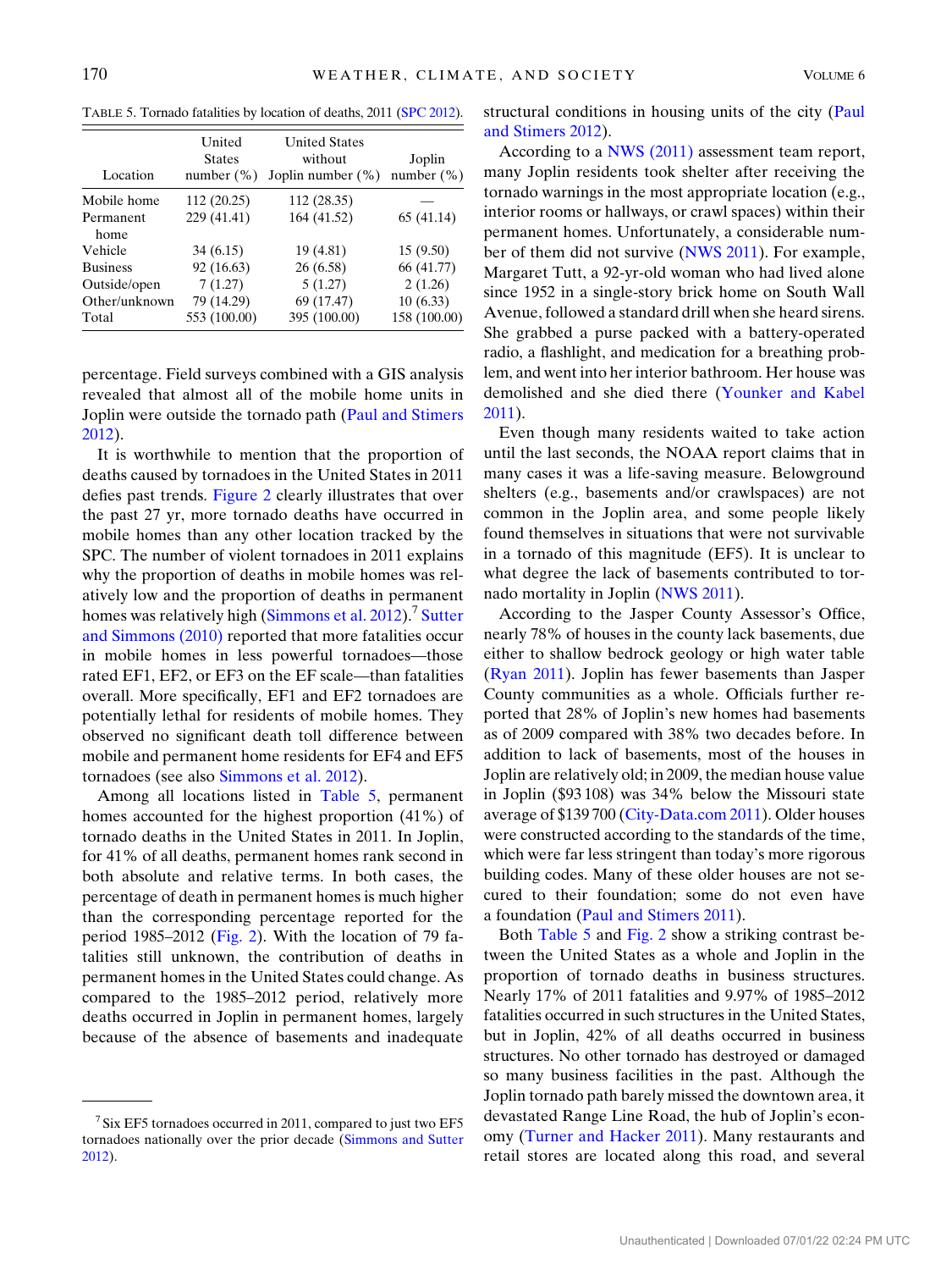<span id="page-9-0"></span>TABLE 5. Tornado fatalities by location of deaths, 2011 [\(SPC 2012](#page-13-8)).

| Location          | United<br><b>States</b><br>number $(\%)$ | <b>United States</b><br>without<br>Joplin number $(\%)$ | Joplin<br>number $(\%)$ |
|-------------------|------------------------------------------|---------------------------------------------------------|-------------------------|
| Mobile home       | 112 (20.25)                              | 112 (28.35)                                             |                         |
| Permanent<br>home | 229 (41.41)                              | 164 (41.52)                                             | 65 (41.14)              |
| Vehicle           | 34(6.15)                                 | 19 (4.81)                                               | 15(9.50)                |
| <b>Business</b>   | 92 (16.63)                               | 26 (6.58)                                               | 66 (41.77)              |
| Outside/open      | 7(1.27)                                  | 5(1.27)                                                 | 2(1.26)                 |
| Other/unknown     | 79 (14.29)                               | 69 (17.47)                                              | 10(6.33)                |
| Total             | 553 (100.00)                             | 395 (100.00)                                            | 158 (100.00)            |

percentage. Field surveys combined with a GIS analysis revealed that almost all of the mobile home units in Joplin were outside the tornado path ([Paul and Stimers](#page-12-28) [2012\)](#page-12-28).

It is worthwhile to mention that the proportion of deaths caused by tornadoes in the United States in 2011 defies past trends. [Figure 2](#page-4-0) clearly illustrates that over the past 27 yr, more tornado deaths have occurred in mobile homes than any other location tracked by the SPC. The number of violent tornadoes in 2011 explains why the proportion of deaths in mobile homes was relatively low and the proportion of deaths in permanent homes was relatively high ([Simmons et al. 2012](#page-13-4)).<sup>7</sup> [Sutter](#page-13-7) [and Simmons \(2010\)](#page-13-7) reported that more fatalities occur in mobile homes in less powerful tornadoes—those rated EF1, EF2, or EF3 on the EF scale—than fatalities overall. More specifically, EF1 and EF2 tornadoes are potentially lethal for residents of mobile homes. They observed no significant death toll difference between mobile and permanent home residents for EF4 and EF5 tornadoes (see also [Simmons et al. 2012\)](#page-13-4).

Among all locations listed in [Table 5](#page-9-0), permanent homes accounted for the highest proportion (41%) of tornado deaths in the United States in 2011. In Joplin, for 41% of all deaths, permanent homes rank second in both absolute and relative terms. In both cases, the percentage of death in permanent homes is much higher than the corresponding percentage reported for the period 1985–2012 [\(Fig. 2\)](#page-4-0). With the location of 79 fatalities still unknown, the contribution of deaths in permanent homes in the United States could change. As compared to the 1985–2012 period, relatively more deaths occurred in Joplin in permanent homes, largely because of the absence of basements and inadequate structural conditions in housing units of the city ([Paul](#page-12-28) [and Stimers 2012](#page-12-28)).

According to a [NWS \(2011\)](#page-12-3) assessment team report, many Joplin residents took shelter after receiving the tornado warnings in the most appropriate location (e.g., interior rooms or hallways, or crawl spaces) within their permanent homes. Unfortunately, a considerable number of them did not survive ([NWS 2011\)](#page-12-3). For example, Margaret Tutt, a 92-yr-old woman who had lived alone since 1952 in a single-story brick home on South Wall Avenue, followed a standard drill when she heard sirens. She grabbed a purse packed with a battery-operated radio, a flashlight, and medication for a breathing problem, and went into her interior bathroom. Her house was demolished and she died there ([Younker and Kabel](#page-13-11) [2011\)](#page-13-11).

Even though many residents waited to take action until the last seconds, the NOAA report claims that in many cases it was a life-saving measure. Belowground shelters (e.g., basements and/or crawlspaces) are not common in the Joplin area, and some people likely found themselves in situations that were not survivable in a tornado of this magnitude (EF5). It is unclear to what degree the lack of basements contributed to tornado mortality in Joplin ([NWS 2011](#page-12-3)).

According to the Jasper County Assessor's Office, nearly 78% of houses in the county lack basements, due either to shallow bedrock geology or high water table ([Ryan 2011\)](#page-12-5). Joplin has fewer basements than Jasper County communities as a whole. Officials further reported that 28% of Joplin's new homes had basements as of 2009 compared with 38% two decades before. In addition to lack of basements, most of the houses in Joplin are relatively old; in 2009, the median house value in Joplin (\$93 108) was 34% below the Missouri state average of \$139 700 [\(City-Data.com 2011\)](#page-12-31). Older houses were constructed according to the standards of the time, which were far less stringent than today's more rigorous building codes. Many of these older houses are not secured to their foundation; some do not even have a foundation ([Paul and Stimers 2011](#page-12-7)).

Both [Table 5](#page-9-0) and [Fig. 2](#page-4-0) show a striking contrast between the United States as a whole and Joplin in the proportion of tornado deaths in business structures. Nearly 17% of 2011 fatalities and 9.97% of 1985–2012 fatalities occurred in such structures in the United States, but in Joplin, 42% of all deaths occurred in business structures. No other tornado has destroyed or damaged so many business facilities in the past. Although the Joplin tornado path barely missed the downtown area, it devastated Range Line Road, the hub of Joplin's economy ([Turner and Hacker 2011](#page-13-3)). Many restaurants and retail stores are located along this road, and several

 $7$  Six EF5 tornadoes occurred in 2011, compared to just two EF5 tornadoes nationally over the prior decade [\(Simmons and Sutter](#page-13-1) [2012\)](#page-13-1).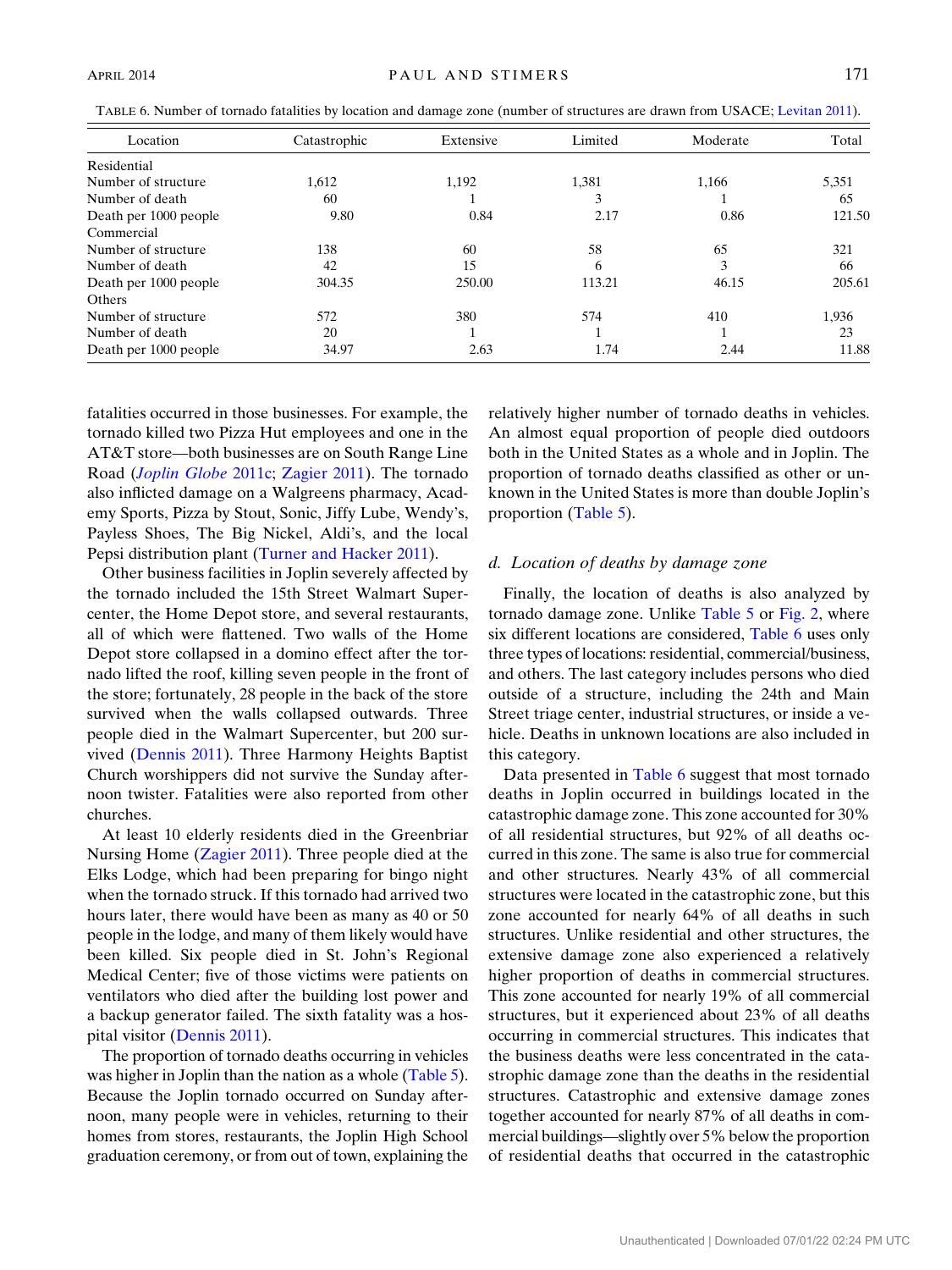<span id="page-10-0"></span>

| TABLE 6. Number of tornado fatalities by location and damage zone (number of structures are drawn from USACE; Levitan 2011). |              |           |         |          |       |
|------------------------------------------------------------------------------------------------------------------------------|--------------|-----------|---------|----------|-------|
| Location                                                                                                                     | Catastrophic | Extensive | Limited | Moderate | Total |
| .                                                                                                                            |              |           |         |          |       |

| Residential           |        |        |        |       |        |
|-----------------------|--------|--------|--------|-------|--------|
| Number of structure   | 1.612  | 1.192  | 1,381  | 1,166 | 5,351  |
| Number of death       | 60     |        | 3      |       | 65     |
| Death per 1000 people | 9.80   | 0.84   | 2.17   | 0.86  | 121.50 |
| Commercial            |        |        |        |       |        |
| Number of structure   | 138    | 60     | 58     | 65    | 321    |
| Number of death       | 42     | 15     | 6      | 3     | 66     |
| Death per 1000 people | 304.35 | 250.00 | 113.21 | 46.15 | 205.61 |
| <b>Others</b>         |        |        |        |       |        |
| Number of structure   | 572    | 380    | 574    | 410   | 1,936  |
| Number of death       | 20     |        |        |       | 23     |
| Death per 1000 people | 34.97  | 2.63   | 1.74   | 2.44  | 11.88  |
|                       |        |        |        |       |        |

fatalities occurred in those businesses. For example, the tornado killed two Pizza Hut employees and one in the AT&T store—both businesses are on South Range Line Road ([Joplin Globe](#page-12-30) 2011c; [Zagier 2011](#page-13-12)). The tornado also inflicted damage on a Walgreens pharmacy, Academy Sports, Pizza by Stout, Sonic, Jiffy Lube, Wendy's, Payless Shoes, The Big Nickel, Aldi's, and the local Pepsi distribution plant [\(Turner and Hacker 2011](#page-13-3)).

Other business facilities in Joplin severely affected by the tornado included the 15th Street Walmart Supercenter, the Home Depot store, and several restaurants, all of which were flattened. Two walls of the Home Depot store collapsed in a domino effect after the tornado lifted the roof, killing seven people in the front of the store; fortunately, 28 people in the back of the store survived when the walls collapsed outwards. Three people died in the Walmart Supercenter, but 200 survived [\(Dennis 2011](#page-12-32)). Three Harmony Heights Baptist Church worshippers did not survive the Sunday afternoon twister. Fatalities were also reported from other churches.

At least 10 elderly residents died in the Greenbriar Nursing Home [\(Zagier 2011](#page-13-12)). Three people died at the Elks Lodge, which had been preparing for bingo night when the tornado struck. If this tornado had arrived two hours later, there would have been as many as 40 or 50 people in the lodge, and many of them likely would have been killed. Six people died in St. John's Regional Medical Center; five of those victims were patients on ventilators who died after the building lost power and a backup generator failed. The sixth fatality was a hospital visitor ([Dennis 2011\)](#page-12-32).

The proportion of tornado deaths occurring in vehicles was higher in Joplin than the nation as a whole [\(Table 5](#page-9-0)). Because the Joplin tornado occurred on Sunday afternoon, many people were in vehicles, returning to their homes from stores, restaurants, the Joplin High School graduation ceremony, or from out of town, explaining the

relatively higher number of tornado deaths in vehicles. An almost equal proportion of people died outdoors both in the United States as a whole and in Joplin. The proportion of tornado deaths classified as other or unknown in the United States is more than double Joplin's proportion ([Table 5\)](#page-9-0).

# d. Location of deaths by damage zone

Finally, the location of deaths is also analyzed by tornado damage zone. Unlike [Table 5](#page-9-0) or [Fig. 2,](#page-4-0) where six different locations are considered, [Table 6](#page-10-0) uses only three types of locations: residential, commercial/business, and others. The last category includes persons who died outside of a structure, including the 24th and Main Street triage center, industrial structures, or inside a vehicle. Deaths in unknown locations are also included in this category.

Data presented in [Table 6](#page-10-0) suggest that most tornado deaths in Joplin occurred in buildings located in the catastrophic damage zone. This zone accounted for 30% of all residential structures, but 92% of all deaths occurred in this zone. The same is also true for commercial and other structures. Nearly 43% of all commercial structures were located in the catastrophic zone, but this zone accounted for nearly 64% of all deaths in such structures. Unlike residential and other structures, the extensive damage zone also experienced a relatively higher proportion of deaths in commercial structures. This zone accounted for nearly 19% of all commercial structures, but it experienced about 23% of all deaths occurring in commercial structures. This indicates that the business deaths were less concentrated in the catastrophic damage zone than the deaths in the residential structures. Catastrophic and extensive damage zones together accounted for nearly 87% of all deaths in commercial buildings—slightly over 5% below the proportion of residential deaths that occurred in the catastrophic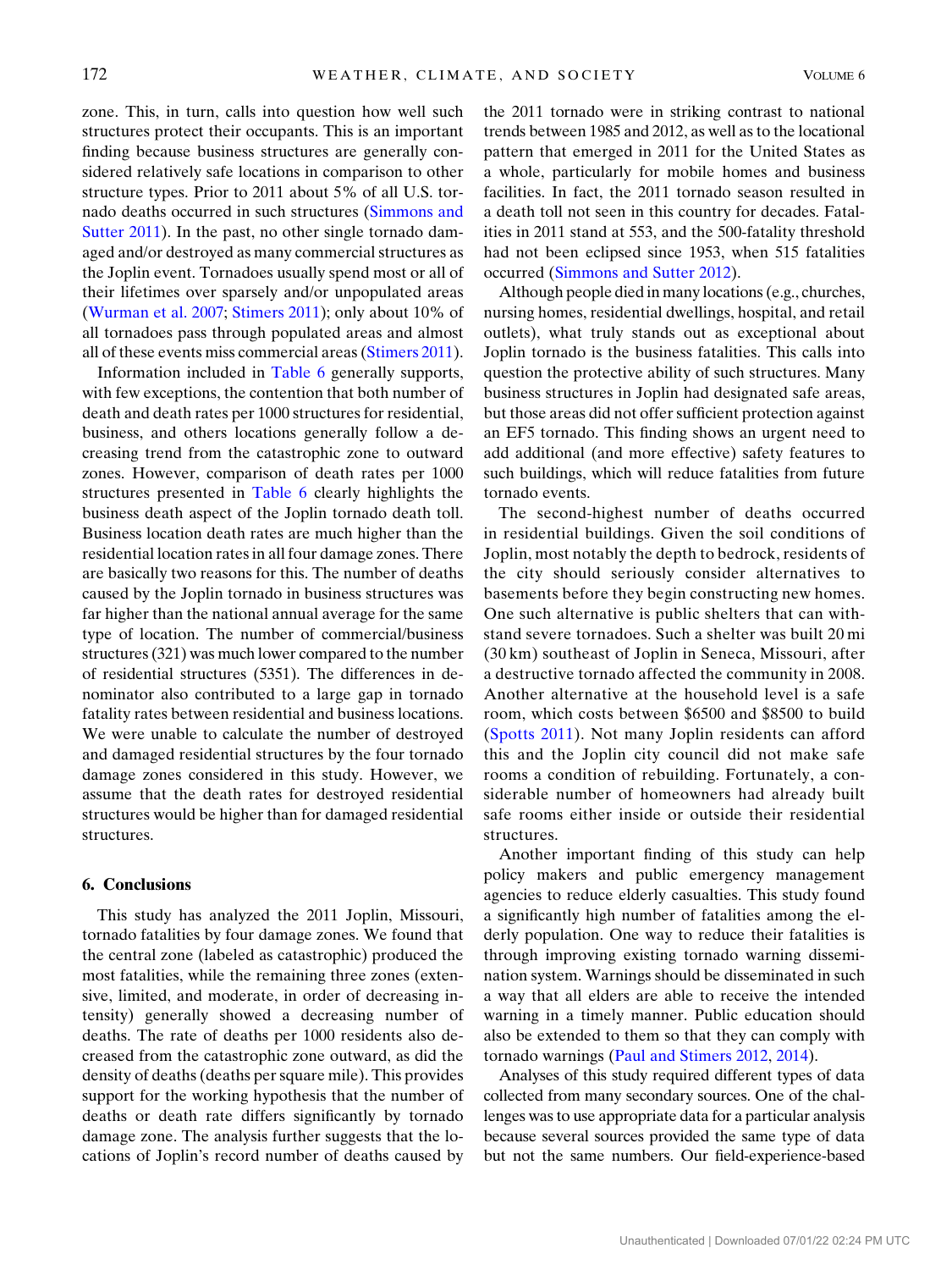zone. This, in turn, calls into question how well such structures protect their occupants. This is an important finding because business structures are generally considered relatively safe locations in comparison to other structure types. Prior to 2011 about 5% of all U.S. tornado deaths occurred in such structures [\(Simmons and](#page-13-0) [Sutter 2011\)](#page-13-0). In the past, no other single tornado damaged and/or destroyed as many commercial structures as the Joplin event. Tornadoes usually spend most or all of their lifetimes over sparsely and/or unpopulated areas ([Wurman et al. 2007](#page-13-5); [Stimers 2011\)](#page-13-13); only about 10% of all tornadoes pass through populated areas and almost all of these events miss commercial areas [\(Stimers 2011](#page-13-13)).

Information included in [Table 6](#page-10-0) generally supports, with few exceptions, the contention that both number of death and death rates per 1000 structures for residential, business, and others locations generally follow a decreasing trend from the catastrophic zone to outward zones. However, comparison of death rates per 1000 structures presented in [Table 6](#page-10-0) clearly highlights the business death aspect of the Joplin tornado death toll. Business location death rates are much higher than the residential location rates in all four damage zones. There are basically two reasons for this. The number of deaths caused by the Joplin tornado in business structures was far higher than the national annual average for the same type of location. The number of commercial/business structures (321) was much lower compared to the number of residential structures (5351). The differences in denominator also contributed to a large gap in tornado fatality rates between residential and business locations. We were unable to calculate the number of destroyed and damaged residential structures by the four tornado damage zones considered in this study. However, we assume that the death rates for destroyed residential structures would be higher than for damaged residential structures.

# 6. Conclusions

This study has analyzed the 2011 Joplin, Missouri, tornado fatalities by four damage zones. We found that the central zone (labeled as catastrophic) produced the most fatalities, while the remaining three zones (extensive, limited, and moderate, in order of decreasing intensity) generally showed a decreasing number of deaths. The rate of deaths per 1000 residents also decreased from the catastrophic zone outward, as did the density of deaths (deaths per square mile). This provides support for the working hypothesis that the number of deaths or death rate differs significantly by tornado damage zone. The analysis further suggests that the locations of Joplin's record number of deaths caused by

the 2011 tornado were in striking contrast to national trends between 1985 and 2012, as well as to the locational pattern that emerged in 2011 for the United States as a whole, particularly for mobile homes and business facilities. In fact, the 2011 tornado season resulted in a death toll not seen in this country for decades. Fatalities in 2011 stand at 553, and the 500-fatality threshold had not been eclipsed since 1953, when 515 fatalities occurred ([Simmons and Sutter 2012](#page-13-1)).

Although people died in many locations (e.g., churches, nursing homes, residential dwellings, hospital, and retail outlets), what truly stands out as exceptional about Joplin tornado is the business fatalities. This calls into question the protective ability of such structures. Many business structures in Joplin had designated safe areas, but those areas did not offer sufficient protection against an EF5 tornado. This finding shows an urgent need to add additional (and more effective) safety features to such buildings, which will reduce fatalities from future tornado events.

The second-highest number of deaths occurred in residential buildings. Given the soil conditions of Joplin, most notably the depth to bedrock, residents of the city should seriously consider alternatives to basements before they begin constructing new homes. One such alternative is public shelters that can withstand severe tornadoes. Such a shelter was built 20 mi (30 km) southeast of Joplin in Seneca, Missouri, after a destructive tornado affected the community in 2008. Another alternative at the household level is a safe room, which costs between \$6500 and \$8500 to build ([Spotts 2011\)](#page-13-14). Not many Joplin residents can afford this and the Joplin city council did not make safe rooms a condition of rebuilding. Fortunately, a considerable number of homeowners had already built safe rooms either inside or outside their residential structures.

Another important finding of this study can help policy makers and public emergency management agencies to reduce elderly casualties. This study found a significantly high number of fatalities among the elderly population. One way to reduce their fatalities is through improving existing tornado warning dissemination system. Warnings should be disseminated in such a way that all elders are able to receive the intended warning in a timely manner. Public education should also be extended to them so that they can comply with tornado warnings [\(Paul and Stimers 2012](#page-12-28), [2014](#page-12-19)).

Analyses of this study required different types of data collected from many secondary sources. One of the challenges was to use appropriate data for a particular analysis because several sources provided the same type of data but not the same numbers. Our field-experience-based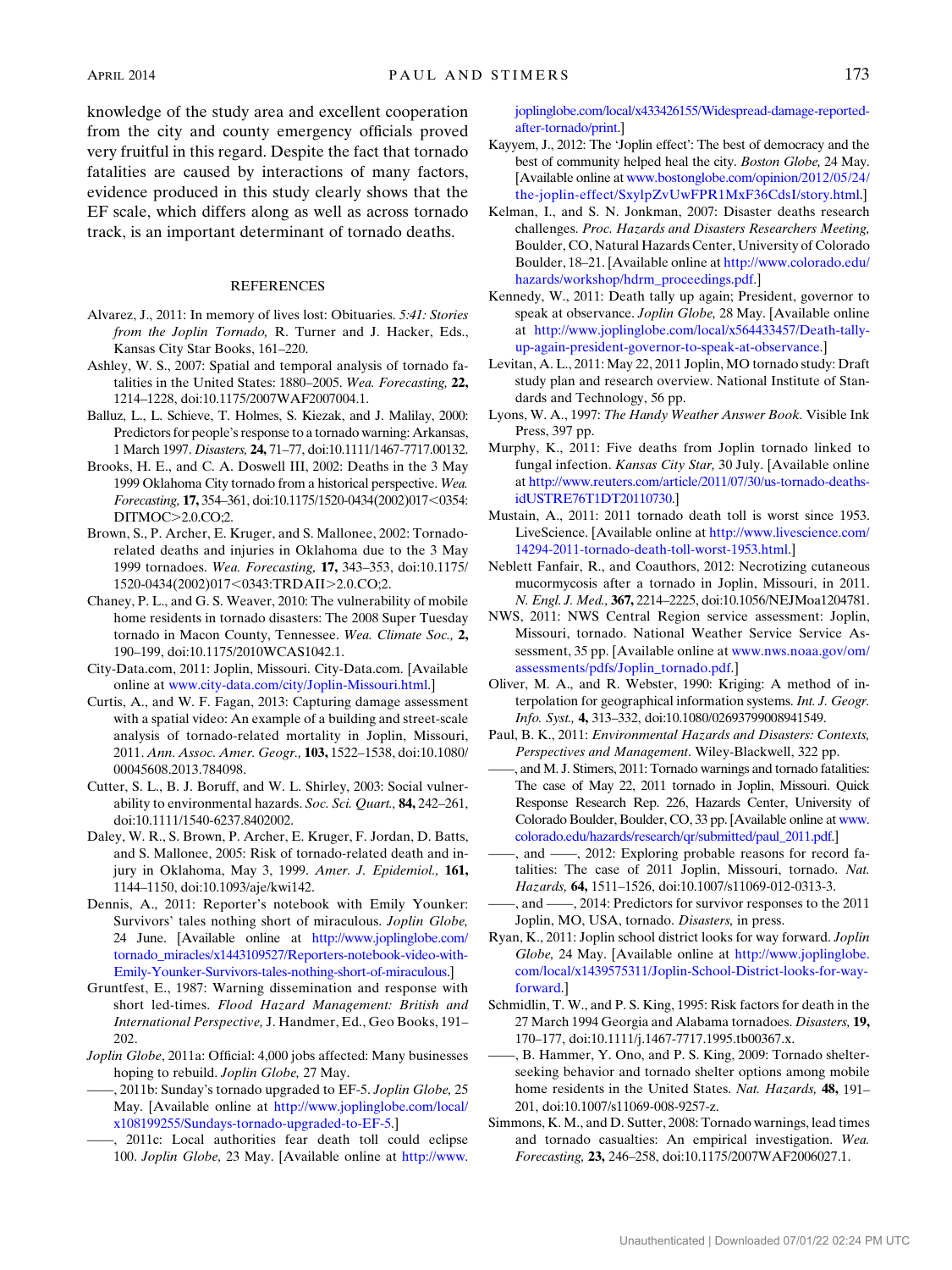#### **REFERENCES**

- <span id="page-12-24"></span>Alvarez, J., 2011: In memory of lives lost: Obituaries. 5:41: Stories from the Joplin Tornado, R. Turner and J. Hacker, Eds., Kansas City Star Books, 161–220.
- <span id="page-12-12"></span>Ashley, W. S., 2007: Spatial and temporal analysis of tornado fatalities in the United States: 1880–2005. Wea. Forecasting, 22, 1214–1228, doi:10.1175/2007WAF2007004.1.
- <span id="page-12-16"></span>Balluz, L., L. Schieve, T. Holmes, S. Kiezak, and J. Malilay, 2000: Predictors for people's response to a tornado warning: Arkansas, 1 March 1997. Disasters, 24, 71–77, doi:10.1111/1467-7717.00132.
- <span id="page-12-22"></span>Brooks, H. E., and C. A. Doswell III, 2002: Deaths in the 3 May 1999 Oklahoma City tornado from a historical perspective. Wea. Forecasting, 17, 354-361, doi:10.1175/1520-0434(2002)017<0354: DITMOC>2.0.CO;2.
- <span id="page-12-23"></span>Brown, S., P. Archer, E. Kruger, and S. Mallonee, 2002: Tornadorelated deaths and injuries in Oklahoma due to the 3 May 1999 tornadoes. Wea. Forecasting, 17, 343–353, doi:10.1175/ 1520-0434(2002)017<0343:TRDAII>2.0.CO;2.
- <span id="page-12-15"></span>Chaney, P. L., and G. S. Weaver, 2010: The vulnerability of mobile home residents in tornado disasters: The 2008 Super Tuesday tornado in Macon County, Tennessee. Wea. Climate Soc., 2, 190–199, doi:10.1175/2010WCAS1042.1.
- <span id="page-12-31"></span>City-Data.com, 2011: Joplin, Missouri. City-Data.com. [Available online at [www.city-data.com/city/Joplin-Missouri.html.](http://www.city-data.com/city/Joplin-Missouri.html)]
- <span id="page-12-2"></span>Curtis, A., and W. F. Fagan, 2013: Capturing damage assessment with a spatial video: An example of a building and street-scale analysis of tornado-related mortality in Joplin, Missouri, 2011. Ann. Assoc. Amer. Geogr., 103, 1522-1538, doi:10.1080/ 00045608.2013.784098.
- <span id="page-12-18"></span>Cutter, S. L., B. J. Boruff, and W. L. Shirley, 2003: Social vulnerability to environmental hazards. Soc. Sci. Quart., 84, 242-261, doi:10.1111/1540-6237.8402002.
- <span id="page-12-11"></span>Daley, W. R., S. Brown, P. Archer, E. Kruger, F. Jordan, D. Batts, and S. Mallonee, 2005: Risk of tornado-related death and injury in Oklahoma, May 3, 1999. *Amer. J. Epidemiol.*, **161,** 1144–1150, doi:10.1093/aje/kwi142.
- <span id="page-12-32"></span>Dennis, A., 2011: Reporter's notebook with Emily Younker: Survivors' tales nothing short of miraculous. Joplin Globe, 24 June. [Available online at [http://www.joplinglobe.com/](http://www.joplinglobe.com/tornado_miracles/x1443109527/Reporters-notebook-video-with-Emily-Younker-Survivors-tales-nothing-short-of-miraculous) [tornado\\_miracles/x1443109527/Reporters-notebook-video-with-](http://www.joplinglobe.com/tornado_miracles/x1443109527/Reporters-notebook-video-with-Emily-Younker-Survivors-tales-nothing-short-of-miraculous)[Emily-Younker-Survivors-tales-nothing-short-of-miraculous](http://www.joplinglobe.com/tornado_miracles/x1443109527/Reporters-notebook-video-with-Emily-Younker-Survivors-tales-nothing-short-of-miraculous).]
- <span id="page-12-20"></span>Gruntfest, E., 1987: Warning dissemination and response with short led-times. Flood Hazard Management: British and International Perspective, J. Handmer, Ed., Geo Books, 191– 202.
- <span id="page-12-6"></span>Joplin Globe, 2011a: Official: 4,000 jobs affected: Many businesses hoping to rebuild. Joplin Globe, 27 May.
- <span id="page-12-26"></span>, 2011b: Sunday's tornado upgraded to EF-5. Joplin Globe, 25 May. [Available online at [http://www.joplinglobe.com/local/](http://www.joplinglobe.com/local/x108199255/Sundays-tornado-upgraded-to-EF-5) [x108199255/Sundays-tornado-upgraded-to-EF-5.](http://www.joplinglobe.com/local/x108199255/Sundays-tornado-upgraded-to-EF-5)]
- <span id="page-12-30"></span>——, 2011c: Local authorities fear death toll could eclipse 100. Joplin Globe, 23 May. [Available online at [http://www.](http://www.joplinglobe.com/local/x433426155/Widespread-damage-reported-after-tornado/print)

[joplinglobe.com/local/x433426155/Widespread-damage-reported](http://www.joplinglobe.com/local/x433426155/Widespread-damage-reported-after-tornado/print)[after-tornado/print.](http://www.joplinglobe.com/local/x433426155/Widespread-damage-reported-after-tornado/print)]

- <span id="page-12-10"></span>Kayyem, J., 2012: The 'Joplin effect': The best of democracy and the best of community helped heal the city. Boston Globe, 24 May. [Available online at [www.bostonglobe.com/opinion/2012/05/24/](http://www.bostonglobe.com/opinion/2012/05/24/the-joplin-effect/SxylpZvUwFPR1MxF36CdsI/story.html) [the-joplin-effect/SxylpZvUwFPR1MxF36CdsI/story.html.](http://www.bostonglobe.com/opinion/2012/05/24/the-joplin-effect/SxylpZvUwFPR1MxF36CdsI/story.html)]
- <span id="page-12-29"></span>Kelman, I., and S. N. Jonkman, 2007: Disaster deaths research challenges. Proc. Hazards and Disasters Researchers Meeting, Boulder, CO, Natural Hazards Center, University of Colorado Boulder, 18–21. [Available online at [http://www.colorado.edu/](http://www.colorado.edu/hazards/workshop/hdrm_proceedings.pdf) [hazards/workshop/hdrm\\_proceedings.pdf.](http://www.colorado.edu/hazards/workshop/hdrm_proceedings.pdf)]
- <span id="page-12-27"></span>Kennedy, W., 2011: Death tally up again; President, governor to speak at observance. Joplin Globe, 28 May. [Available online at [http://www.joplinglobe.com/local/x564433457/Death-tally](http://www.joplinglobe.com/local/x564433457/Death-tally-up-again-president-governor-to-speak-at-observance)[up-again-president-governor-to-speak-at-observance](http://www.joplinglobe.com/local/x564433457/Death-tally-up-again-president-governor-to-speak-at-observance).]
- <span id="page-12-17"></span>Levitan, A. L., 2011: May 22, 2011 Joplin, MO tornado study: Draft study plan and research overview. National Institute of Standards and Technology, 56 pp.
- <span id="page-12-1"></span>Lyons, W. A., 1997: The Handy Weather Answer Book. Visible Ink Press, 397 pp.
- <span id="page-12-8"></span>Murphy, K., 2011: Five deaths from Joplin tornado linked to fungal infection. Kansas City Star, 30 July. [Available online at [http://www.reuters.com/article/2011/07/30/us-tornado-deaths](http://www.reuters.com/article/2011/07/30/us-tornado-deaths-idUSTRE76T1DT20110730)[idUSTRE76T1DT20110730](http://www.reuters.com/article/2011/07/30/us-tornado-deaths-idUSTRE76T1DT20110730).]
- <span id="page-12-4"></span>Mustain, A., 2011: 2011 tornado death toll is worst since 1953. LiveScience. [Available online at [http://www.livescience.com/](http://www.livescience.com/14294-2011-tornado-death-toll-worst-1953.html) [14294-2011-tornado-death-toll-worst-1953.html](http://www.livescience.com/14294-2011-tornado-death-toll-worst-1953.html).]
- <span id="page-12-9"></span>Neblett Fanfair, R., and Coauthors, 2012: Necrotizing cutaneous mucormycosis after a tornado in Joplin, Missouri, in 2011. N. Engl. J. Med., 367, 2214–2225, doi:10.1056/NEJMoa1204781.
- <span id="page-12-3"></span>NWS, 2011: NWS Central Region service assessment: Joplin, Missouri, tornado. National Weather Service Service Assessment, 35 pp. [Available online at [www.nws.noaa.gov/om/](http://www.nws.noaa.gov/om/assessments/pdfs/Joplin_tornado.pdf) [assessments/pdfs/Joplin\\_tornado.pdf](http://www.nws.noaa.gov/om/assessments/pdfs/Joplin_tornado.pdf).]
- <span id="page-12-25"></span>Oliver, M. A., and R. Webster, 1990: Kriging: A method of interpolation for geographical information systems. Int. J. Geogr. Info. Syst., 4, 313–332, doi:10.1080/02693799008941549.
- <span id="page-12-0"></span>Paul, B. K., 2011: Environmental Hazards and Disasters: Contexts, Perspectives and Management. Wiley-Blackwell, 322 pp.
- <span id="page-12-7"></span>——, and M. J. Stimers, 2011: Tornado warnings and tornado fatalities: The case of May 22, 2011 tornado in Joplin, Missouri. Quick Response Research Rep. 226, Hazards Center, University of Colorado Boulder, Boulder, CO, 33 pp. [Available online at [www.](http://www.colorado.edu/hazards/research/qr/submitted/paul_2011.pdf) [colorado.edu/hazards/research/qr/submitted/paul\\_2011.pdf](http://www.colorado.edu/hazards/research/qr/submitted/paul_2011.pdf).]
- <span id="page-12-28"></span>-, and  $\frac{1}{2}$ , 2012: Exploring probable reasons for record fatalities: The case of 2011 Joplin, Missouri, tornado. Nat. Hazards, 64, 1511–1526, doi:10.1007/s11069-012-0313-3.
- <span id="page-12-19"></span>——, and ——, 2014: Predictors for survivor responses to the 2011 Joplin, MO, USA, tornado. Disasters, in press.
- <span id="page-12-5"></span>Ryan, K., 2011: Joplin school district looks for way forward. Joplin Globe, 24 May. [Available online at [http://www.joplinglobe.](http://www.joplinglobe.com/local/x1439575311/Joplin-School-District-looks-for-way-forward) [com/local/x1439575311/Joplin-School-District-looks-for-way](http://www.joplinglobe.com/local/x1439575311/Joplin-School-District-looks-for-way-forward)[forward](http://www.joplinglobe.com/local/x1439575311/Joplin-School-District-looks-for-way-forward).]
- <span id="page-12-21"></span>Schmidlin, T. W., and P. S. King, 1995: Risk factors for death in the 27 March 1994 Georgia and Alabama tornadoes. Disasters, 19, 170–177, doi:10.1111/j.1467-7717.1995.tb00367.x.
- <span id="page-12-14"></span>——, B. Hammer, Y. Ono, and P. S. King, 2009: Tornado shelterseeking behavior and tornado shelter options among mobile home residents in the United States. Nat. Hazards, 48, 191-201, doi:10.1007/s11069-008-9257-z.
- <span id="page-12-13"></span>Simmons, K. M., and D. Sutter, 2008: Tornado warnings, lead times and tornado casualties: An empirical investigation. Wea. Forecasting, 23, 246–258, doi:10.1175/2007WAF2006027.1.